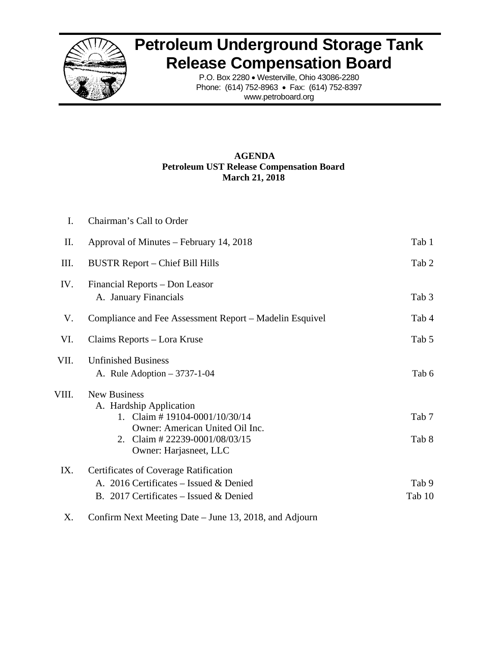

## **Petroleum Underground Storage Tank Release Compensation Board**

P.O. Box 2280 • Westerville, Ohio 43086-2280 Phone: (614) 752-8963 • Fax: (614) 752-8397 www.petroboard.org

## **AGENDA Petroleum UST Release Compensation Board March 21, 2018**

| $\mathbf{I}$ . | Chairman's Call to Order                                                                                                                                                       |                 |
|----------------|--------------------------------------------------------------------------------------------------------------------------------------------------------------------------------|-----------------|
| П.             | Approval of Minutes – February 14, 2018                                                                                                                                        | Tab 1           |
| III.           | <b>BUSTR Report - Chief Bill Hills</b>                                                                                                                                         | Tab 2           |
| IV.            | Financial Reports - Don Leasor<br>A. January Financials                                                                                                                        | Tab 3           |
| V.             | Compliance and Fee Assessment Report – Madelin Esquivel                                                                                                                        | Tab 4           |
| VI.            | Claims Reports – Lora Kruse                                                                                                                                                    | Tab 5           |
| VII.           | <b>Unfinished Business</b><br>A. Rule Adoption $-3737-1-04$                                                                                                                    | Tab 6           |
| VIII.          | <b>New Business</b><br>A. Hardship Application<br>1. Claim #19104-0001/10/30/14<br>Owner: American United Oil Inc.<br>2. Claim # 22239-0001/08/03/15<br>Owner: Harjasneet, LLC | Tab 7<br>Tab 8  |
| IX.            | Certificates of Coverage Ratification<br>A. 2016 Certificates – Issued & Denied<br>B. 2017 Certificates – Issued & Denied                                                      | Tab 9<br>Tab 10 |

X. Confirm Next Meeting Date – June 13, 2018, and Adjourn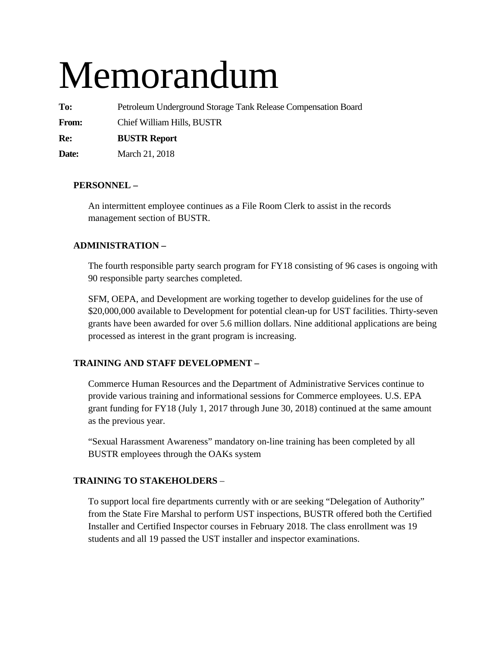# Memorandum

**To:** Petroleum Underground Storage Tank Release Compensation Board **From:** Chief William Hills, BUSTR **Re: BUSTR Report** 

**Date:** March 21, 2018

## **PERSONNEL –**

An intermittent employee continues as a File Room Clerk to assist in the records management section of BUSTR.

## **ADMINISTRATION –**

The fourth responsible party search program for FY18 consisting of 96 cases is ongoing with 90 responsible party searches completed.

SFM, OEPA, and Development are working together to develop guidelines for the use of \$20,000,000 available to Development for potential clean-up for UST facilities. Thirty-seven grants have been awarded for over 5.6 million dollars. Nine additional applications are being processed as interest in the grant program is increasing.

## **TRAINING AND STAFF DEVELOPMENT –**

Commerce Human Resources and the Department of Administrative Services continue to provide various training and informational sessions for Commerce employees. U.S. EPA grant funding for FY18 (July 1, 2017 through June 30, 2018) continued at the same amount as the previous year.

"Sexual Harassment Awareness" mandatory on-line training has been completed by all BUSTR employees through the OAKs system

## **TRAINING TO STAKEHOLDERS** –

To support local fire departments currently with or are seeking "Delegation of Authority" from the State Fire Marshal to perform UST inspections, BUSTR offered both the Certified Installer and Certified Inspector courses in February 2018. The class enrollment was 19 students and all 19 passed the UST installer and inspector examinations.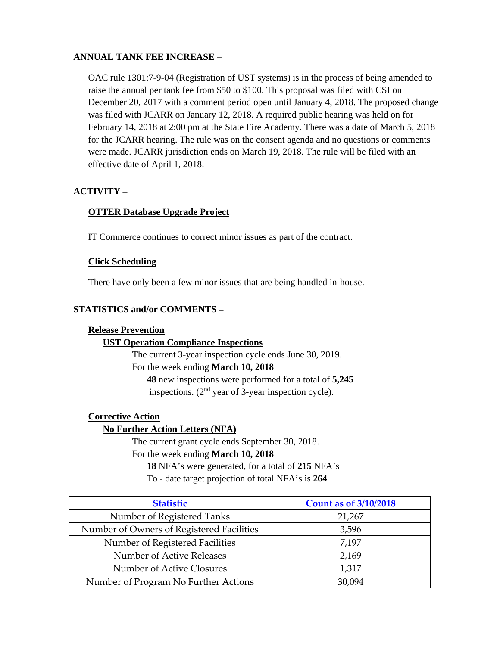## **ANNUAL TANK FEE INCREASE** –

OAC rule 1301:7-9-04 (Registration of UST systems) is in the process of being amended to raise the annual per tank fee from \$50 to \$100. This proposal was filed with CSI on December 20, 2017 with a comment period open until January 4, 2018. The proposed change was filed with JCARR on January 12, 2018. A required public hearing was held on for February 14, 2018 at 2:00 pm at the State Fire Academy. There was a date of March 5, 2018 for the JCARR hearing. The rule was on the consent agenda and no questions or comments were made. JCARR jurisdiction ends on March 19, 2018. The rule will be filed with an effective date of April 1, 2018.

## **ACTIVITY –**

## **OTTER Database Upgrade Project**

IT Commerce continues to correct minor issues as part of the contract.

## **Click Scheduling**

There have only been a few minor issues that are being handled in-house.

## **STATISTICS and/or COMMENTS –**

## **Release Prevention**

## **UST Operation Compliance Inspections**

The current 3-year inspection cycle ends June 30, 2019. For the week ending **March 10, 2018 48** new inspections were performed for a total of **5,245** inspections.  $(2<sup>nd</sup>$  year of 3-year inspection cycle).

## **Corrective Action**

## **No Further Action Letters (NFA)**

The current grant cycle ends September 30, 2018. For the week ending **March 10, 2018** 

**18** NFA's were generated, for a total of **215** NFA's

To - date target projection of total NFA's is **264** 

| <b>Statistic</b>                          | <b>Count as of 3/10/2018</b> |
|-------------------------------------------|------------------------------|
| Number of Registered Tanks                | 21,267                       |
| Number of Owners of Registered Facilities | 3,596                        |
| Number of Registered Facilities           | 7,197                        |
| Number of Active Releases                 | 2,169                        |
| Number of Active Closures                 | 1,317                        |
| Number of Program No Further Actions      | 30.094                       |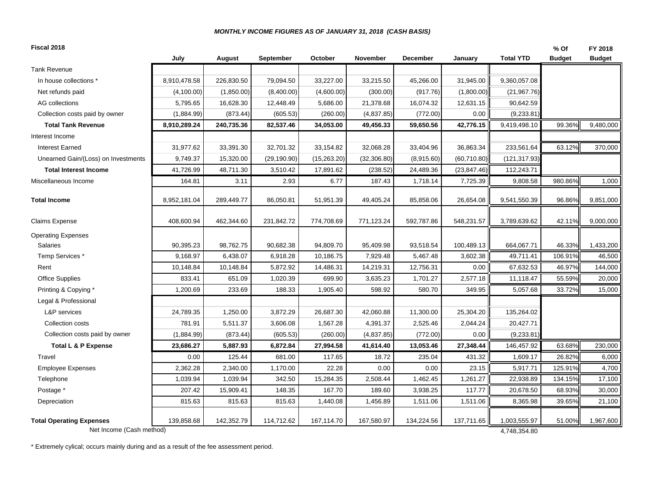#### *MONTHLY INCOME FIGURES AS OF JANUARY 31, 2018 (CASH BASIS)*

| July<br>October<br><b>Total YTD</b><br>August<br><b>September</b><br>November<br><b>December</b><br>January<br><b>Budget</b><br><b>Tank Revenue</b><br>In house collections *<br>8,910,478.58<br>226,830.50<br>79,094.50<br>33,227.00<br>33,215.50<br>45,266.00<br>31,945.00<br>9,360,057.08<br>(4,100.00)<br>(1,850.00)<br>(8,400.00)<br>(4,600.00)<br>(300.00)<br>(917.76)<br>(1,800.00)<br>(21, 967.76)<br>Net refunds paid<br>AG collections<br>5,795.65<br>16,628.30<br>12,448.49<br>5,686.00<br>21,378.68<br>16,074.32<br>12,631.15<br>90,642.59<br>(873.44)<br>Collection costs paid by owner<br>(1,884.99)<br>(605.53)<br>(260.00)<br>(4,837.85)<br>(772.00)<br>0.00<br>(9,233.81)<br>8,910,289.24<br>240,735.36<br>82,537.46<br>34,053.00<br>49,456.33<br>59,650.56<br>42,776.15<br>9,419,498.10<br>99.36%<br><b>Total Tank Revenue</b><br>Interest Income<br>31,977.62<br>33,391.30<br>32,701.32<br>33,154.82<br>32,068.28<br>33,404.96<br>36,863.34<br>233,561.64<br>63.12%<br><b>Interest Earned</b><br>9,749.37<br>15,320.00<br>(29, 190.90)<br>(15,263.20)<br>(32, 306.80)<br>(8,915.60)<br>(60, 710.80)<br>Unearned Gain/(Loss) on Investments<br>(121, 317.93)<br>41,726.99<br>24,489.36<br>112,243.71<br>48,711.30<br>3,510.42<br>17,891.62<br>(238.52)<br>(23, 847.46)<br><b>Total Interest Income</b><br>980.86%<br>164.81<br>3.11<br>2.93<br>6.77<br>187.43<br>1,718.14<br>7,725.39<br>9,808.58<br>Miscellaneous Income<br>96.86%<br><b>Total Income</b><br>8,952,181.04<br>289,449.77<br>86,050.81<br>51,951.39<br>49,405.24<br>85,858.06<br>26,654.08<br>9,541,550.39<br>408,600.94<br>462,344.60<br>231,842.72<br>774,708.69<br>771,123.24<br>592,787.86<br>548,231.57<br><b>Claims Expense</b><br>3,789,639.62<br>42.11%<br><b>Operating Expenses</b><br>90,395.23<br>98,762.75<br>90,682.38<br>94,809.70<br>95,409.98<br>93,518.54<br>100,489.13<br>46.33%<br>Salaries<br>664,067.71<br>106.91%<br>Temp Services *<br>9,168.97<br>6,438.07<br>6,918.28<br>10,186.75<br>7,929.48<br>5,467.48<br>3,602.38<br>49,711.41<br>67,632.53<br>10,148.84<br>10,148.84<br>5,872.92<br>14,486.31<br>14,219.31<br>12,756.31<br>0.00<br>46.97%<br>Rent<br>833.41<br>651.09<br>1,020.39<br>699.90<br>3,635.23<br>2,577.18<br>55.59%<br>Office Supplies<br>1,701.27<br>11,118.47<br>1,200.69<br>233.69<br>1,905.40<br>598.92<br>580.70<br>5,057.68<br>33.72%<br>188.33<br>349.95<br>Printing & Copying *<br>Legal & Professional<br>L&P services<br>24,789.35<br>1,250.00<br>3,872.29<br>42,060.88<br>11,300.00<br>25,304.20<br>135,264.02<br>26,687.30<br>Collection costs<br>781.91<br>5,511.37<br>3,606.08<br>1,567.28<br>4,391.37<br>2,525.46<br>2,044.24<br>20,427.71<br>Collection costs paid by owner<br>(1,884.99)<br>(873.44)<br>(605.53)<br>(260.00)<br>(4,837.85)<br>(772.00)<br>0.00<br>(9,233.81)<br>63.68%<br>5,887.93<br>6,872.84<br>27,994.58<br>13,053.46<br>27,348.44<br>146,457.92<br>Total L & P Expense<br>23,686.27<br>41,614.40<br>125.44<br>681.00<br>117.65<br>235.04<br>431.32<br>1,609.17<br>26.82%<br>Travel<br>0.00<br>18.72<br>2,362.28<br>2,340.00<br>0.00<br>5,917.71<br>125.91%<br><b>Employee Expenses</b><br>1,170.00<br>22.28<br>0.00<br>23.15<br>1,039.94<br>1,039.94<br>342.50<br>15,284.35<br>2,508.44<br>1,462.45<br>1,261.27<br>22,938.89<br>134.15%<br>Telephone<br>207.42<br>15,909.41<br>148.35<br>3,938.25<br>20,678.50<br>167.70<br>189.60<br>117.77<br>68.93%<br>Postage *<br>Depreciation<br>815.63<br>815.63<br>815.63<br>1,440.08<br>1,456.89<br>1,511.06<br>1,511.06<br>8,365.98<br>39.65% | Fiscal 2018 |  |  |  |  | $%$ Of | FY 2018       |
|--------------------------------------------------------------------------------------------------------------------------------------------------------------------------------------------------------------------------------------------------------------------------------------------------------------------------------------------------------------------------------------------------------------------------------------------------------------------------------------------------------------------------------------------------------------------------------------------------------------------------------------------------------------------------------------------------------------------------------------------------------------------------------------------------------------------------------------------------------------------------------------------------------------------------------------------------------------------------------------------------------------------------------------------------------------------------------------------------------------------------------------------------------------------------------------------------------------------------------------------------------------------------------------------------------------------------------------------------------------------------------------------------------------------------------------------------------------------------------------------------------------------------------------------------------------------------------------------------------------------------------------------------------------------------------------------------------------------------------------------------------------------------------------------------------------------------------------------------------------------------------------------------------------------------------------------------------------------------------------------------------------------------------------------------------------------------------------------------------------------------------------------------------------------------------------------------------------------------------------------------------------------------------------------------------------------------------------------------------------------------------------------------------------------------------------------------------------------------------------------------------------------------------------------------------------------------------------------------------------------------------------------------------------------------------------------------------------------------------------------------------------------------------------------------------------------------------------------------------------------------------------------------------------------------------------------------------------------------------------------------------------------------------------------------------------------------------------------------------------------------------------------------------------------------------------------------------------------------------------------------------------------------------------------------------------------------------------------------------------------------------------------------------------------------------------------------------------------------------------------------------------------------------------------------------|-------------|--|--|--|--|--------|---------------|
|                                                                                                                                                                                                                                                                                                                                                                                                                                                                                                                                                                                                                                                                                                                                                                                                                                                                                                                                                                                                                                                                                                                                                                                                                                                                                                                                                                                                                                                                                                                                                                                                                                                                                                                                                                                                                                                                                                                                                                                                                                                                                                                                                                                                                                                                                                                                                                                                                                                                                                                                                                                                                                                                                                                                                                                                                                                                                                                                                                                                                                                                                                                                                                                                                                                                                                                                                                                                                                                                                                                                                        |             |  |  |  |  |        | <b>Budget</b> |
|                                                                                                                                                                                                                                                                                                                                                                                                                                                                                                                                                                                                                                                                                                                                                                                                                                                                                                                                                                                                                                                                                                                                                                                                                                                                                                                                                                                                                                                                                                                                                                                                                                                                                                                                                                                                                                                                                                                                                                                                                                                                                                                                                                                                                                                                                                                                                                                                                                                                                                                                                                                                                                                                                                                                                                                                                                                                                                                                                                                                                                                                                                                                                                                                                                                                                                                                                                                                                                                                                                                                                        |             |  |  |  |  |        |               |
|                                                                                                                                                                                                                                                                                                                                                                                                                                                                                                                                                                                                                                                                                                                                                                                                                                                                                                                                                                                                                                                                                                                                                                                                                                                                                                                                                                                                                                                                                                                                                                                                                                                                                                                                                                                                                                                                                                                                                                                                                                                                                                                                                                                                                                                                                                                                                                                                                                                                                                                                                                                                                                                                                                                                                                                                                                                                                                                                                                                                                                                                                                                                                                                                                                                                                                                                                                                                                                                                                                                                                        |             |  |  |  |  |        |               |
|                                                                                                                                                                                                                                                                                                                                                                                                                                                                                                                                                                                                                                                                                                                                                                                                                                                                                                                                                                                                                                                                                                                                                                                                                                                                                                                                                                                                                                                                                                                                                                                                                                                                                                                                                                                                                                                                                                                                                                                                                                                                                                                                                                                                                                                                                                                                                                                                                                                                                                                                                                                                                                                                                                                                                                                                                                                                                                                                                                                                                                                                                                                                                                                                                                                                                                                                                                                                                                                                                                                                                        |             |  |  |  |  |        |               |
|                                                                                                                                                                                                                                                                                                                                                                                                                                                                                                                                                                                                                                                                                                                                                                                                                                                                                                                                                                                                                                                                                                                                                                                                                                                                                                                                                                                                                                                                                                                                                                                                                                                                                                                                                                                                                                                                                                                                                                                                                                                                                                                                                                                                                                                                                                                                                                                                                                                                                                                                                                                                                                                                                                                                                                                                                                                                                                                                                                                                                                                                                                                                                                                                                                                                                                                                                                                                                                                                                                                                                        |             |  |  |  |  |        |               |
|                                                                                                                                                                                                                                                                                                                                                                                                                                                                                                                                                                                                                                                                                                                                                                                                                                                                                                                                                                                                                                                                                                                                                                                                                                                                                                                                                                                                                                                                                                                                                                                                                                                                                                                                                                                                                                                                                                                                                                                                                                                                                                                                                                                                                                                                                                                                                                                                                                                                                                                                                                                                                                                                                                                                                                                                                                                                                                                                                                                                                                                                                                                                                                                                                                                                                                                                                                                                                                                                                                                                                        |             |  |  |  |  |        |               |
|                                                                                                                                                                                                                                                                                                                                                                                                                                                                                                                                                                                                                                                                                                                                                                                                                                                                                                                                                                                                                                                                                                                                                                                                                                                                                                                                                                                                                                                                                                                                                                                                                                                                                                                                                                                                                                                                                                                                                                                                                                                                                                                                                                                                                                                                                                                                                                                                                                                                                                                                                                                                                                                                                                                                                                                                                                                                                                                                                                                                                                                                                                                                                                                                                                                                                                                                                                                                                                                                                                                                                        |             |  |  |  |  |        | 9,480,000     |
|                                                                                                                                                                                                                                                                                                                                                                                                                                                                                                                                                                                                                                                                                                                                                                                                                                                                                                                                                                                                                                                                                                                                                                                                                                                                                                                                                                                                                                                                                                                                                                                                                                                                                                                                                                                                                                                                                                                                                                                                                                                                                                                                                                                                                                                                                                                                                                                                                                                                                                                                                                                                                                                                                                                                                                                                                                                                                                                                                                                                                                                                                                                                                                                                                                                                                                                                                                                                                                                                                                                                                        |             |  |  |  |  |        |               |
|                                                                                                                                                                                                                                                                                                                                                                                                                                                                                                                                                                                                                                                                                                                                                                                                                                                                                                                                                                                                                                                                                                                                                                                                                                                                                                                                                                                                                                                                                                                                                                                                                                                                                                                                                                                                                                                                                                                                                                                                                                                                                                                                                                                                                                                                                                                                                                                                                                                                                                                                                                                                                                                                                                                                                                                                                                                                                                                                                                                                                                                                                                                                                                                                                                                                                                                                                                                                                                                                                                                                                        |             |  |  |  |  |        | 370,000       |
|                                                                                                                                                                                                                                                                                                                                                                                                                                                                                                                                                                                                                                                                                                                                                                                                                                                                                                                                                                                                                                                                                                                                                                                                                                                                                                                                                                                                                                                                                                                                                                                                                                                                                                                                                                                                                                                                                                                                                                                                                                                                                                                                                                                                                                                                                                                                                                                                                                                                                                                                                                                                                                                                                                                                                                                                                                                                                                                                                                                                                                                                                                                                                                                                                                                                                                                                                                                                                                                                                                                                                        |             |  |  |  |  |        |               |
|                                                                                                                                                                                                                                                                                                                                                                                                                                                                                                                                                                                                                                                                                                                                                                                                                                                                                                                                                                                                                                                                                                                                                                                                                                                                                                                                                                                                                                                                                                                                                                                                                                                                                                                                                                                                                                                                                                                                                                                                                                                                                                                                                                                                                                                                                                                                                                                                                                                                                                                                                                                                                                                                                                                                                                                                                                                                                                                                                                                                                                                                                                                                                                                                                                                                                                                                                                                                                                                                                                                                                        |             |  |  |  |  |        |               |
|                                                                                                                                                                                                                                                                                                                                                                                                                                                                                                                                                                                                                                                                                                                                                                                                                                                                                                                                                                                                                                                                                                                                                                                                                                                                                                                                                                                                                                                                                                                                                                                                                                                                                                                                                                                                                                                                                                                                                                                                                                                                                                                                                                                                                                                                                                                                                                                                                                                                                                                                                                                                                                                                                                                                                                                                                                                                                                                                                                                                                                                                                                                                                                                                                                                                                                                                                                                                                                                                                                                                                        |             |  |  |  |  |        | 1,000         |
|                                                                                                                                                                                                                                                                                                                                                                                                                                                                                                                                                                                                                                                                                                                                                                                                                                                                                                                                                                                                                                                                                                                                                                                                                                                                                                                                                                                                                                                                                                                                                                                                                                                                                                                                                                                                                                                                                                                                                                                                                                                                                                                                                                                                                                                                                                                                                                                                                                                                                                                                                                                                                                                                                                                                                                                                                                                                                                                                                                                                                                                                                                                                                                                                                                                                                                                                                                                                                                                                                                                                                        |             |  |  |  |  |        | 9,851,000     |
|                                                                                                                                                                                                                                                                                                                                                                                                                                                                                                                                                                                                                                                                                                                                                                                                                                                                                                                                                                                                                                                                                                                                                                                                                                                                                                                                                                                                                                                                                                                                                                                                                                                                                                                                                                                                                                                                                                                                                                                                                                                                                                                                                                                                                                                                                                                                                                                                                                                                                                                                                                                                                                                                                                                                                                                                                                                                                                                                                                                                                                                                                                                                                                                                                                                                                                                                                                                                                                                                                                                                                        |             |  |  |  |  |        | 9,000,000     |
|                                                                                                                                                                                                                                                                                                                                                                                                                                                                                                                                                                                                                                                                                                                                                                                                                                                                                                                                                                                                                                                                                                                                                                                                                                                                                                                                                                                                                                                                                                                                                                                                                                                                                                                                                                                                                                                                                                                                                                                                                                                                                                                                                                                                                                                                                                                                                                                                                                                                                                                                                                                                                                                                                                                                                                                                                                                                                                                                                                                                                                                                                                                                                                                                                                                                                                                                                                                                                                                                                                                                                        |             |  |  |  |  |        |               |
|                                                                                                                                                                                                                                                                                                                                                                                                                                                                                                                                                                                                                                                                                                                                                                                                                                                                                                                                                                                                                                                                                                                                                                                                                                                                                                                                                                                                                                                                                                                                                                                                                                                                                                                                                                                                                                                                                                                                                                                                                                                                                                                                                                                                                                                                                                                                                                                                                                                                                                                                                                                                                                                                                                                                                                                                                                                                                                                                                                                                                                                                                                                                                                                                                                                                                                                                                                                                                                                                                                                                                        |             |  |  |  |  |        | 1,433,200     |
|                                                                                                                                                                                                                                                                                                                                                                                                                                                                                                                                                                                                                                                                                                                                                                                                                                                                                                                                                                                                                                                                                                                                                                                                                                                                                                                                                                                                                                                                                                                                                                                                                                                                                                                                                                                                                                                                                                                                                                                                                                                                                                                                                                                                                                                                                                                                                                                                                                                                                                                                                                                                                                                                                                                                                                                                                                                                                                                                                                                                                                                                                                                                                                                                                                                                                                                                                                                                                                                                                                                                                        |             |  |  |  |  |        | 46,500        |
|                                                                                                                                                                                                                                                                                                                                                                                                                                                                                                                                                                                                                                                                                                                                                                                                                                                                                                                                                                                                                                                                                                                                                                                                                                                                                                                                                                                                                                                                                                                                                                                                                                                                                                                                                                                                                                                                                                                                                                                                                                                                                                                                                                                                                                                                                                                                                                                                                                                                                                                                                                                                                                                                                                                                                                                                                                                                                                                                                                                                                                                                                                                                                                                                                                                                                                                                                                                                                                                                                                                                                        |             |  |  |  |  |        | 144,000       |
|                                                                                                                                                                                                                                                                                                                                                                                                                                                                                                                                                                                                                                                                                                                                                                                                                                                                                                                                                                                                                                                                                                                                                                                                                                                                                                                                                                                                                                                                                                                                                                                                                                                                                                                                                                                                                                                                                                                                                                                                                                                                                                                                                                                                                                                                                                                                                                                                                                                                                                                                                                                                                                                                                                                                                                                                                                                                                                                                                                                                                                                                                                                                                                                                                                                                                                                                                                                                                                                                                                                                                        |             |  |  |  |  |        | 20,000        |
|                                                                                                                                                                                                                                                                                                                                                                                                                                                                                                                                                                                                                                                                                                                                                                                                                                                                                                                                                                                                                                                                                                                                                                                                                                                                                                                                                                                                                                                                                                                                                                                                                                                                                                                                                                                                                                                                                                                                                                                                                                                                                                                                                                                                                                                                                                                                                                                                                                                                                                                                                                                                                                                                                                                                                                                                                                                                                                                                                                                                                                                                                                                                                                                                                                                                                                                                                                                                                                                                                                                                                        |             |  |  |  |  |        | 15,000        |
|                                                                                                                                                                                                                                                                                                                                                                                                                                                                                                                                                                                                                                                                                                                                                                                                                                                                                                                                                                                                                                                                                                                                                                                                                                                                                                                                                                                                                                                                                                                                                                                                                                                                                                                                                                                                                                                                                                                                                                                                                                                                                                                                                                                                                                                                                                                                                                                                                                                                                                                                                                                                                                                                                                                                                                                                                                                                                                                                                                                                                                                                                                                                                                                                                                                                                                                                                                                                                                                                                                                                                        |             |  |  |  |  |        |               |
|                                                                                                                                                                                                                                                                                                                                                                                                                                                                                                                                                                                                                                                                                                                                                                                                                                                                                                                                                                                                                                                                                                                                                                                                                                                                                                                                                                                                                                                                                                                                                                                                                                                                                                                                                                                                                                                                                                                                                                                                                                                                                                                                                                                                                                                                                                                                                                                                                                                                                                                                                                                                                                                                                                                                                                                                                                                                                                                                                                                                                                                                                                                                                                                                                                                                                                                                                                                                                                                                                                                                                        |             |  |  |  |  |        |               |
|                                                                                                                                                                                                                                                                                                                                                                                                                                                                                                                                                                                                                                                                                                                                                                                                                                                                                                                                                                                                                                                                                                                                                                                                                                                                                                                                                                                                                                                                                                                                                                                                                                                                                                                                                                                                                                                                                                                                                                                                                                                                                                                                                                                                                                                                                                                                                                                                                                                                                                                                                                                                                                                                                                                                                                                                                                                                                                                                                                                                                                                                                                                                                                                                                                                                                                                                                                                                                                                                                                                                                        |             |  |  |  |  |        |               |
|                                                                                                                                                                                                                                                                                                                                                                                                                                                                                                                                                                                                                                                                                                                                                                                                                                                                                                                                                                                                                                                                                                                                                                                                                                                                                                                                                                                                                                                                                                                                                                                                                                                                                                                                                                                                                                                                                                                                                                                                                                                                                                                                                                                                                                                                                                                                                                                                                                                                                                                                                                                                                                                                                                                                                                                                                                                                                                                                                                                                                                                                                                                                                                                                                                                                                                                                                                                                                                                                                                                                                        |             |  |  |  |  |        |               |
|                                                                                                                                                                                                                                                                                                                                                                                                                                                                                                                                                                                                                                                                                                                                                                                                                                                                                                                                                                                                                                                                                                                                                                                                                                                                                                                                                                                                                                                                                                                                                                                                                                                                                                                                                                                                                                                                                                                                                                                                                                                                                                                                                                                                                                                                                                                                                                                                                                                                                                                                                                                                                                                                                                                                                                                                                                                                                                                                                                                                                                                                                                                                                                                                                                                                                                                                                                                                                                                                                                                                                        |             |  |  |  |  |        | 230,000       |
|                                                                                                                                                                                                                                                                                                                                                                                                                                                                                                                                                                                                                                                                                                                                                                                                                                                                                                                                                                                                                                                                                                                                                                                                                                                                                                                                                                                                                                                                                                                                                                                                                                                                                                                                                                                                                                                                                                                                                                                                                                                                                                                                                                                                                                                                                                                                                                                                                                                                                                                                                                                                                                                                                                                                                                                                                                                                                                                                                                                                                                                                                                                                                                                                                                                                                                                                                                                                                                                                                                                                                        |             |  |  |  |  |        | 6,000         |
|                                                                                                                                                                                                                                                                                                                                                                                                                                                                                                                                                                                                                                                                                                                                                                                                                                                                                                                                                                                                                                                                                                                                                                                                                                                                                                                                                                                                                                                                                                                                                                                                                                                                                                                                                                                                                                                                                                                                                                                                                                                                                                                                                                                                                                                                                                                                                                                                                                                                                                                                                                                                                                                                                                                                                                                                                                                                                                                                                                                                                                                                                                                                                                                                                                                                                                                                                                                                                                                                                                                                                        |             |  |  |  |  |        | 4,700         |
|                                                                                                                                                                                                                                                                                                                                                                                                                                                                                                                                                                                                                                                                                                                                                                                                                                                                                                                                                                                                                                                                                                                                                                                                                                                                                                                                                                                                                                                                                                                                                                                                                                                                                                                                                                                                                                                                                                                                                                                                                                                                                                                                                                                                                                                                                                                                                                                                                                                                                                                                                                                                                                                                                                                                                                                                                                                                                                                                                                                                                                                                                                                                                                                                                                                                                                                                                                                                                                                                                                                                                        |             |  |  |  |  |        | 17,100        |
|                                                                                                                                                                                                                                                                                                                                                                                                                                                                                                                                                                                                                                                                                                                                                                                                                                                                                                                                                                                                                                                                                                                                                                                                                                                                                                                                                                                                                                                                                                                                                                                                                                                                                                                                                                                                                                                                                                                                                                                                                                                                                                                                                                                                                                                                                                                                                                                                                                                                                                                                                                                                                                                                                                                                                                                                                                                                                                                                                                                                                                                                                                                                                                                                                                                                                                                                                                                                                                                                                                                                                        |             |  |  |  |  |        | 30,000        |
|                                                                                                                                                                                                                                                                                                                                                                                                                                                                                                                                                                                                                                                                                                                                                                                                                                                                                                                                                                                                                                                                                                                                                                                                                                                                                                                                                                                                                                                                                                                                                                                                                                                                                                                                                                                                                                                                                                                                                                                                                                                                                                                                                                                                                                                                                                                                                                                                                                                                                                                                                                                                                                                                                                                                                                                                                                                                                                                                                                                                                                                                                                                                                                                                                                                                                                                                                                                                                                                                                                                                                        |             |  |  |  |  |        | 21,100        |
| <b>Total Operating Expenses</b><br>139,858.68<br>142,352.79<br>114,712.62<br>167,114.70<br>167,580.97<br>134,224.56<br>137,711.65<br>1,003,555.97<br>51.00%<br>Net Income (Cash method)<br>4,748,354.80                                                                                                                                                                                                                                                                                                                                                                                                                                                                                                                                                                                                                                                                                                                                                                                                                                                                                                                                                                                                                                                                                                                                                                                                                                                                                                                                                                                                                                                                                                                                                                                                                                                                                                                                                                                                                                                                                                                                                                                                                                                                                                                                                                                                                                                                                                                                                                                                                                                                                                                                                                                                                                                                                                                                                                                                                                                                                                                                                                                                                                                                                                                                                                                                                                                                                                                                                |             |  |  |  |  |        | 1,967,600     |

\* Extremely cylical; occurs mainly during and as a result of the fee assessment period.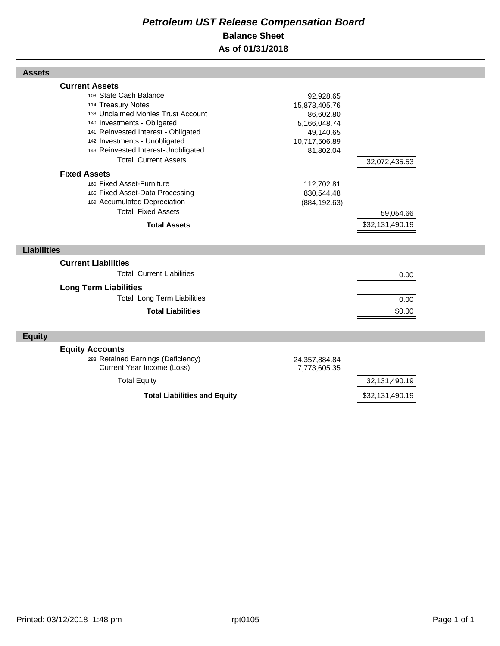## *Petroleum UST Release Compensation Board*  **Balance Sheet As of 01/31/2018**

| <b>Current Assets</b>                                            |                               |                                  |  |
|------------------------------------------------------------------|-------------------------------|----------------------------------|--|
| 108 State Cash Balance                                           | 92,928.65                     |                                  |  |
| 114 Treasury Notes                                               | 15,878,405.76                 |                                  |  |
| 138 Unclaimed Monies Trust Account                               | 86,602.80                     |                                  |  |
| 140 Investments - Obligated                                      | 5,166,048.74                  |                                  |  |
| 141 Reinvested Interest - Obligated                              | 49,140.65                     |                                  |  |
| 142 Investments - Unobligated                                    | 10,717,506.89                 |                                  |  |
| 143 Reinvested Interest-Unobligated                              | 81,802.04                     |                                  |  |
| <b>Total Current Assets</b>                                      |                               | 32,072,435.53                    |  |
| <b>Fixed Assets</b>                                              |                               |                                  |  |
| 160 Fixed Asset-Furniture                                        | 112,702.81                    |                                  |  |
| 165 Fixed Asset-Data Processing                                  | 830,544.48                    |                                  |  |
| 169 Accumulated Depreciation                                     | (884, 192.63)                 |                                  |  |
| <b>Total Fixed Assets</b>                                        |                               | 59,054.66                        |  |
| <b>Total Assets</b>                                              |                               | \$32,131,490.19                  |  |
|                                                                  |                               |                                  |  |
|                                                                  |                               |                                  |  |
| <b>Liabilities</b>                                               |                               |                                  |  |
|                                                                  |                               |                                  |  |
| <b>Current Liabilities</b>                                       |                               |                                  |  |
| <b>Total Current Liabilities</b>                                 |                               | 0.00                             |  |
| <b>Long Term Liabilities</b>                                     |                               |                                  |  |
| <b>Total Long Term Liabilities</b>                               |                               | 0.00                             |  |
| <b>Total Liabilities</b>                                         |                               | \$0.00                           |  |
|                                                                  |                               |                                  |  |
| <b>Equity</b>                                                    |                               |                                  |  |
|                                                                  |                               |                                  |  |
| <b>Equity Accounts</b>                                           |                               |                                  |  |
| 283 Retained Earnings (Deficiency)<br>Current Year Income (Loss) | 24,357,884.84<br>7,773,605.35 |                                  |  |
|                                                                  |                               |                                  |  |
| <b>Total Equity</b><br><b>Total Liabilities and Equity</b>       |                               | 32,131,490.19<br>\$32,131,490.19 |  |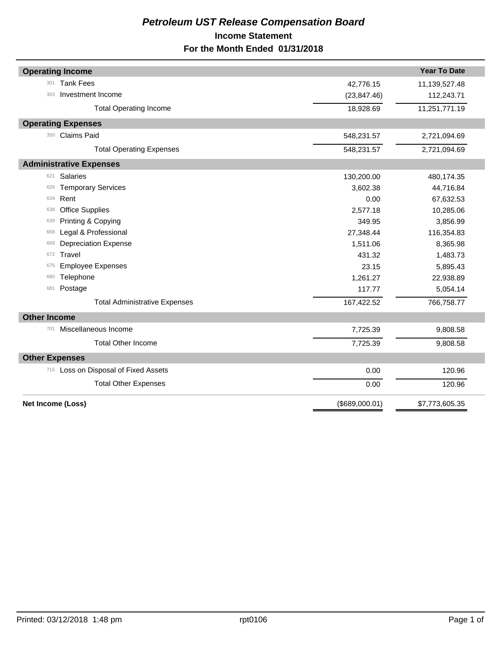## *Petroleum UST Release Compensation Board*  **Income Statement For the Month Ended 01/31/2018**

| <b>Year To Date</b><br><b>Operating Income</b><br><b>Tank Fees</b><br>301<br>42,776.15<br>11,139,527.48<br>Investment Income<br>(23, 847.46)<br>112,243.71<br>303<br>11,251,771.19<br>18,928.69<br><b>Total Operating Income</b><br><b>Operating Expenses</b><br>350 Claims Paid<br>548,231.57<br>2,721,094.69<br>548,231.57<br><b>Total Operating Expenses</b><br>2,721,094.69<br><b>Administrative Expenses</b><br><b>Salaries</b><br>621<br>130,200.00<br>480,174.35<br><b>Temporary Services</b><br>3,602.38<br>44,716.84<br>626<br>Rent<br>634<br>0.00<br>67,632.53<br><b>Office Supplies</b><br>2,577.18<br>10,285.06<br>638<br>Printing & Copying<br>349.95<br>3,856.99<br>639<br>Legal & Professional<br>27,348.44<br>116,354.83<br>668<br><b>Depreciation Expense</b><br>1,511.06<br>8,365.98<br>669<br>Travel<br>431.32<br>1,483.73<br>672<br><b>Employee Expenses</b><br>23.15<br>5,895.43<br>675<br>Telephone<br>680<br>1,261.27<br>22,938.89<br>Postage<br>117.77<br>5,054.14<br>681<br>766,758.77<br>167,422.52<br><b>Total Administrative Expenses</b><br><b>Other Income</b><br>Miscellaneous Income<br>701<br>7,725.39<br>9,808.58<br><b>Total Other Income</b><br>7,725.39<br>9,808.58<br><b>Other Expenses</b><br>715 Loss on Disposal of Fixed Assets<br>0.00<br>120.96<br><b>Total Other Expenses</b><br>120.96<br>0.00<br><b>Net Income (Loss)</b><br>(\$689,000.01)<br>\$7,773,605.35 |  |  |
|--------------------------------------------------------------------------------------------------------------------------------------------------------------------------------------------------------------------------------------------------------------------------------------------------------------------------------------------------------------------------------------------------------------------------------------------------------------------------------------------------------------------------------------------------------------------------------------------------------------------------------------------------------------------------------------------------------------------------------------------------------------------------------------------------------------------------------------------------------------------------------------------------------------------------------------------------------------------------------------------------------------------------------------------------------------------------------------------------------------------------------------------------------------------------------------------------------------------------------------------------------------------------------------------------------------------------------------------------------------------------------------------------------------|--|--|
|                                                                                                                                                                                                                                                                                                                                                                                                                                                                                                                                                                                                                                                                                                                                                                                                                                                                                                                                                                                                                                                                                                                                                                                                                                                                                                                                                                                                              |  |  |
|                                                                                                                                                                                                                                                                                                                                                                                                                                                                                                                                                                                                                                                                                                                                                                                                                                                                                                                                                                                                                                                                                                                                                                                                                                                                                                                                                                                                              |  |  |
|                                                                                                                                                                                                                                                                                                                                                                                                                                                                                                                                                                                                                                                                                                                                                                                                                                                                                                                                                                                                                                                                                                                                                                                                                                                                                                                                                                                                              |  |  |
|                                                                                                                                                                                                                                                                                                                                                                                                                                                                                                                                                                                                                                                                                                                                                                                                                                                                                                                                                                                                                                                                                                                                                                                                                                                                                                                                                                                                              |  |  |
|                                                                                                                                                                                                                                                                                                                                                                                                                                                                                                                                                                                                                                                                                                                                                                                                                                                                                                                                                                                                                                                                                                                                                                                                                                                                                                                                                                                                              |  |  |
|                                                                                                                                                                                                                                                                                                                                                                                                                                                                                                                                                                                                                                                                                                                                                                                                                                                                                                                                                                                                                                                                                                                                                                                                                                                                                                                                                                                                              |  |  |
|                                                                                                                                                                                                                                                                                                                                                                                                                                                                                                                                                                                                                                                                                                                                                                                                                                                                                                                                                                                                                                                                                                                                                                                                                                                                                                                                                                                                              |  |  |
|                                                                                                                                                                                                                                                                                                                                                                                                                                                                                                                                                                                                                                                                                                                                                                                                                                                                                                                                                                                                                                                                                                                                                                                                                                                                                                                                                                                                              |  |  |
|                                                                                                                                                                                                                                                                                                                                                                                                                                                                                                                                                                                                                                                                                                                                                                                                                                                                                                                                                                                                                                                                                                                                                                                                                                                                                                                                                                                                              |  |  |
|                                                                                                                                                                                                                                                                                                                                                                                                                                                                                                                                                                                                                                                                                                                                                                                                                                                                                                                                                                                                                                                                                                                                                                                                                                                                                                                                                                                                              |  |  |
|                                                                                                                                                                                                                                                                                                                                                                                                                                                                                                                                                                                                                                                                                                                                                                                                                                                                                                                                                                                                                                                                                                                                                                                                                                                                                                                                                                                                              |  |  |
|                                                                                                                                                                                                                                                                                                                                                                                                                                                                                                                                                                                                                                                                                                                                                                                                                                                                                                                                                                                                                                                                                                                                                                                                                                                                                                                                                                                                              |  |  |
|                                                                                                                                                                                                                                                                                                                                                                                                                                                                                                                                                                                                                                                                                                                                                                                                                                                                                                                                                                                                                                                                                                                                                                                                                                                                                                                                                                                                              |  |  |
|                                                                                                                                                                                                                                                                                                                                                                                                                                                                                                                                                                                                                                                                                                                                                                                                                                                                                                                                                                                                                                                                                                                                                                                                                                                                                                                                                                                                              |  |  |
|                                                                                                                                                                                                                                                                                                                                                                                                                                                                                                                                                                                                                                                                                                                                                                                                                                                                                                                                                                                                                                                                                                                                                                                                                                                                                                                                                                                                              |  |  |
|                                                                                                                                                                                                                                                                                                                                                                                                                                                                                                                                                                                                                                                                                                                                                                                                                                                                                                                                                                                                                                                                                                                                                                                                                                                                                                                                                                                                              |  |  |
|                                                                                                                                                                                                                                                                                                                                                                                                                                                                                                                                                                                                                                                                                                                                                                                                                                                                                                                                                                                                                                                                                                                                                                                                                                                                                                                                                                                                              |  |  |
|                                                                                                                                                                                                                                                                                                                                                                                                                                                                                                                                                                                                                                                                                                                                                                                                                                                                                                                                                                                                                                                                                                                                                                                                                                                                                                                                                                                                              |  |  |
|                                                                                                                                                                                                                                                                                                                                                                                                                                                                                                                                                                                                                                                                                                                                                                                                                                                                                                                                                                                                                                                                                                                                                                                                                                                                                                                                                                                                              |  |  |
|                                                                                                                                                                                                                                                                                                                                                                                                                                                                                                                                                                                                                                                                                                                                                                                                                                                                                                                                                                                                                                                                                                                                                                                                                                                                                                                                                                                                              |  |  |
|                                                                                                                                                                                                                                                                                                                                                                                                                                                                                                                                                                                                                                                                                                                                                                                                                                                                                                                                                                                                                                                                                                                                                                                                                                                                                                                                                                                                              |  |  |
|                                                                                                                                                                                                                                                                                                                                                                                                                                                                                                                                                                                                                                                                                                                                                                                                                                                                                                                                                                                                                                                                                                                                                                                                                                                                                                                                                                                                              |  |  |
|                                                                                                                                                                                                                                                                                                                                                                                                                                                                                                                                                                                                                                                                                                                                                                                                                                                                                                                                                                                                                                                                                                                                                                                                                                                                                                                                                                                                              |  |  |
|                                                                                                                                                                                                                                                                                                                                                                                                                                                                                                                                                                                                                                                                                                                                                                                                                                                                                                                                                                                                                                                                                                                                                                                                                                                                                                                                                                                                              |  |  |
|                                                                                                                                                                                                                                                                                                                                                                                                                                                                                                                                                                                                                                                                                                                                                                                                                                                                                                                                                                                                                                                                                                                                                                                                                                                                                                                                                                                                              |  |  |
|                                                                                                                                                                                                                                                                                                                                                                                                                                                                                                                                                                                                                                                                                                                                                                                                                                                                                                                                                                                                                                                                                                                                                                                                                                                                                                                                                                                                              |  |  |
|                                                                                                                                                                                                                                                                                                                                                                                                                                                                                                                                                                                                                                                                                                                                                                                                                                                                                                                                                                                                                                                                                                                                                                                                                                                                                                                                                                                                              |  |  |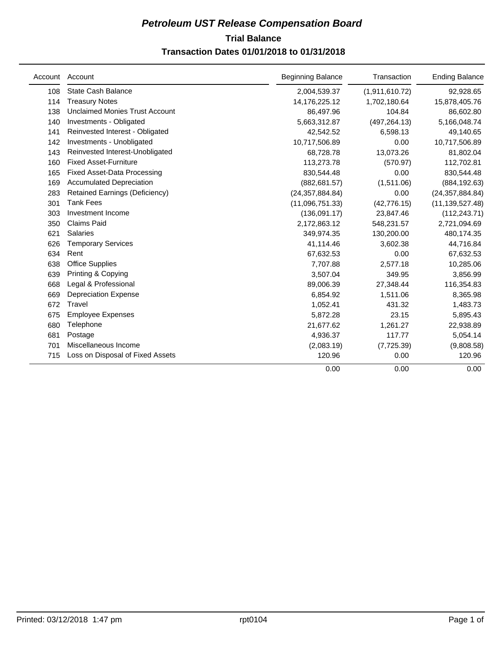## **Trial Balance** *Petroleum UST Release Compensation Board*  **Transaction Dates 01/01/2018 to 01/31/2018**

|     | Account Account                       | <b>Beginning Balance</b> | Transaction    | <b>Ending Balance</b> |
|-----|---------------------------------------|--------------------------|----------------|-----------------------|
| 108 | State Cash Balance                    | 2,004,539.37             | (1,911,610.72) | 92,928.65             |
| 114 | <b>Treasury Notes</b>                 | 14,176,225.12            | 1,702,180.64   | 15,878,405.76         |
| 138 | <b>Unclaimed Monies Trust Account</b> | 86,497.96                | 104.84         | 86,602.80             |
| 140 | Investments - Obligated               | 5,663,312.87             | (497, 264.13)  | 5,166,048.74          |
| 141 | Reinvested Interest - Obligated       | 42,542.52                | 6,598.13       | 49,140.65             |
| 142 | Investments - Unobligated             | 10,717,506.89            | 0.00           | 10,717,506.89         |
| 143 | Reinvested Interest-Unobligated       | 68,728.78                | 13,073.26      | 81,802.04             |
| 160 | <b>Fixed Asset-Furniture</b>          | 113,273.78               | (570.97)       | 112,702.81            |
| 165 | <b>Fixed Asset-Data Processing</b>    | 830,544.48               | 0.00           | 830,544.48            |
| 169 | <b>Accumulated Depreciation</b>       | (882, 681.57)            | (1,511.06)     | (884, 192.63)         |
| 283 | <b>Retained Earnings (Deficiency)</b> | (24, 357, 884.84)        | 0.00           | (24, 357, 884.84)     |
| 301 | <b>Tank Fees</b>                      | (11,096,751.33)          | (42, 776.15)   | (11, 139, 527.48)     |
| 303 | Investment Income                     | (136,091.17)             | 23,847.46      | (112, 243.71)         |
| 350 | Claims Paid                           | 2,172,863.12             | 548,231.57     | 2,721,094.69          |
| 621 | <b>Salaries</b>                       | 349,974.35               | 130,200.00     | 480,174.35            |
| 626 | <b>Temporary Services</b>             | 41,114.46                | 3,602.38       | 44,716.84             |
| 634 | Rent                                  | 67,632.53                | 0.00           | 67,632.53             |
| 638 | <b>Office Supplies</b>                | 7,707.88                 | 2,577.18       | 10,285.06             |
| 639 | Printing & Copying                    | 3,507.04                 | 349.95         | 3,856.99              |
| 668 | Legal & Professional                  | 89,006.39                | 27,348.44      | 116,354.83            |
| 669 | <b>Depreciation Expense</b>           | 6,854.92                 | 1,511.06       | 8,365.98              |
| 672 | Travel                                | 1,052.41                 | 431.32         | 1,483.73              |
| 675 | <b>Employee Expenses</b>              | 5,872.28                 | 23.15          | 5,895.43              |
| 680 | Telephone                             | 21,677.62                | 1,261.27       | 22,938.89             |
| 681 | Postage                               | 4,936.37                 | 117.77         | 5,054.14              |
| 701 | Miscellaneous Income                  | (2,083.19)               | (7, 725.39)    | (9,808.58)            |
| 715 | Loss on Disposal of Fixed Assets      | 120.96                   | 0.00           | 120.96                |
|     |                                       | 0.00                     | 0.00           | 0.00                  |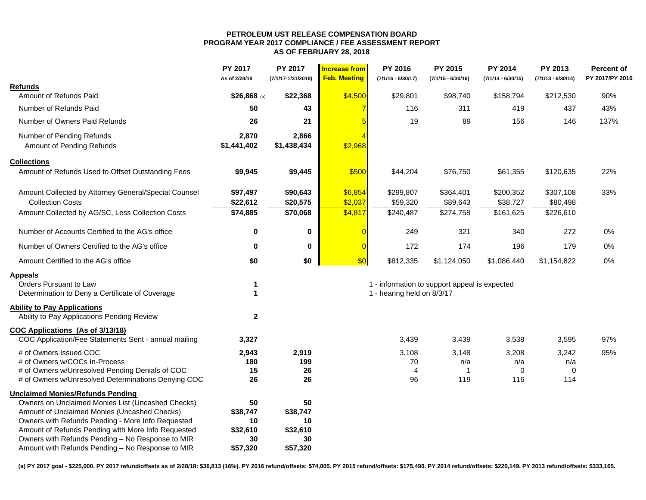#### **PETROLEUM UST RELEASE COMPENSATION BOARD PROGRAM YEAR 2017 COMPLIANCE / FEE ASSESSMENT REPORT AS OF FEBRUARY 28, 2018**

|                                                      | PY 2017<br>As of 2/28/18 | PY 2017<br>(7/1/17-1/31/2018) | <b>Increase from</b><br><b>Feb. Meeting</b> | PY 2016<br>$(7/1/16 - 6/30/17)$ | PY 2015<br>$(7/1/15 - 6/30/16)$               | PY 2014<br>$(7/1/14 - 6/30/15)$ | PY 2013<br>$(7/1/13 - 6/30/14)$ | <b>Percent of</b><br>PY 2017/PY 2016 |
|------------------------------------------------------|--------------------------|-------------------------------|---------------------------------------------|---------------------------------|-----------------------------------------------|---------------------------------|---------------------------------|--------------------------------------|
| <b>Refunds</b>                                       |                          |                               |                                             |                                 |                                               |                                 |                                 |                                      |
| Amount of Refunds Paid                               | \$26,868 (a)             | \$22,368                      | \$4,500                                     | \$29,801                        | \$98,740                                      | \$158,794                       | \$212,530                       | 90%                                  |
| Number of Refunds Paid                               | 50                       | 43                            | $\overline{7}$                              | 116                             | 311                                           | 419                             | 437                             | 43%                                  |
| Number of Owners Paid Refunds                        | 26                       | 21                            |                                             | 19                              | 89                                            | 156                             | 146                             | 137%                                 |
| Number of Pending Refunds                            | 2,870                    | 2,866                         |                                             |                                 |                                               |                                 |                                 |                                      |
| Amount of Pending Refunds                            | \$1,441,402              | \$1,438,434                   | \$2,968                                     |                                 |                                               |                                 |                                 |                                      |
| <b>Collections</b>                                   |                          |                               |                                             |                                 |                                               |                                 |                                 |                                      |
| Amount of Refunds Used to Offset Outstanding Fees    | \$9,945                  | \$9,445                       | \$500                                       | \$44,204                        | \$76,750                                      | \$61,355                        | \$120,635                       | 22%                                  |
| Amount Collected by Attorney General/Special Counsel | \$97,497                 | \$90,643                      | \$6,854                                     | \$299,807                       | \$364,401                                     | \$200,352                       | \$307,108                       | 33%                                  |
| <b>Collection Costs</b>                              | \$22,612                 | \$20,575                      | \$2,037                                     | \$59,320                        | \$89,643                                      | \$38,727                        | \$80,498                        |                                      |
| Amount Collected by AG/SC, Less Collection Costs     | \$74,885                 | \$70,068                      | \$4,817                                     | \$240,487                       | \$274,758                                     | \$161,625                       | \$226,610                       |                                      |
| Number of Accounts Certified to the AG's office      | $\bf{0}$                 | 0                             | $\overline{0}$                              | 249                             | 321                                           | 340                             | 272                             | 0%                                   |
| Number of Owners Certified to the AG's office        | $\bf{0}$                 | $\bf{0}$                      | $\overline{0}$                              | 172                             | 174                                           | 196                             | 179                             | 0%                                   |
| Amount Certified to the AG's office                  | \$0                      | \$0                           | \$0                                         | \$812,335                       | \$1,124,050                                   | \$1,086,440                     | \$1,154,822                     | 0%                                   |
| <b>Appeals</b>                                       |                          |                               |                                             |                                 |                                               |                                 |                                 |                                      |
| Orders Pursuant to Law                               | $\mathbf 1$              |                               |                                             |                                 | 1 - information to support appeal is expected |                                 |                                 |                                      |
| Determination to Deny a Certificate of Coverage      | $\mathbf{1}$             |                               |                                             | 1 - hearing held on 8/3/17      |                                               |                                 |                                 |                                      |
| <b>Ability to Pay Applications</b>                   |                          |                               |                                             |                                 |                                               |                                 |                                 |                                      |
| Ability to Pay Applications Pending Review           | $\mathbf{2}$             |                               |                                             |                                 |                                               |                                 |                                 |                                      |
| COC Applications (As of 3/13/18)                     |                          |                               |                                             |                                 |                                               |                                 |                                 |                                      |
| COC Application/Fee Statements Sent - annual mailing | 3,327                    |                               |                                             | 3,439                           | 3,439                                         | 3,538                           | 3,595                           | 97%                                  |
| # of Owners Issued COC                               | 2,943                    | 2,919                         |                                             | 3,108                           | 3,148                                         | 3,208                           | 3,242                           | 95%                                  |
| # of Owners w/COCs In-Process                        | 180                      | 199                           |                                             | 70                              | n/a                                           | n/a                             | n/a                             |                                      |
| # of Owners w/Unresolved Pending Denials of COC      | 15                       | 26                            |                                             | $\overline{4}$                  | -1                                            | 0                               | $\Omega$                        |                                      |
| # of Owners w/Unresolved Determinations Denying COC  | 26                       | 26                            |                                             | 96                              | 119                                           | 116                             | 114                             |                                      |
| <b>Unclaimed Monies/Refunds Pending</b>              |                          |                               |                                             |                                 |                                               |                                 |                                 |                                      |
| Owners on Unclaimed Monies List (Uncashed Checks)    | 50                       | 50                            |                                             |                                 |                                               |                                 |                                 |                                      |
| Amount of Unclaimed Monies (Uncashed Checks)         | \$38,747                 | \$38,747                      |                                             |                                 |                                               |                                 |                                 |                                      |
| Owners with Refunds Pending - More Info Requested    | 10                       | 10                            |                                             |                                 |                                               |                                 |                                 |                                      |
| Amount of Refunds Pending with More Info Requested   | \$32,610                 | \$32,610                      |                                             |                                 |                                               |                                 |                                 |                                      |
| Owners with Refunds Pending - No Response to MIR     | 30                       | 30                            |                                             |                                 |                                               |                                 |                                 |                                      |
| Amount with Refunds Pending - No Response to MIR     | \$57,320                 | \$57,320                      |                                             |                                 |                                               |                                 |                                 |                                      |

**(a) PY 2017 goal - \$225,000. PY 2017 refund/offsets as of 2/28/18: \$36,813 (16%). PY 2016 refund/offsets: \$74,005. PY 2015 refund/offsets: \$175,490. PY 2014 refund/offsets: \$220,149. PY 2013 refund/offsets: \$333,165.**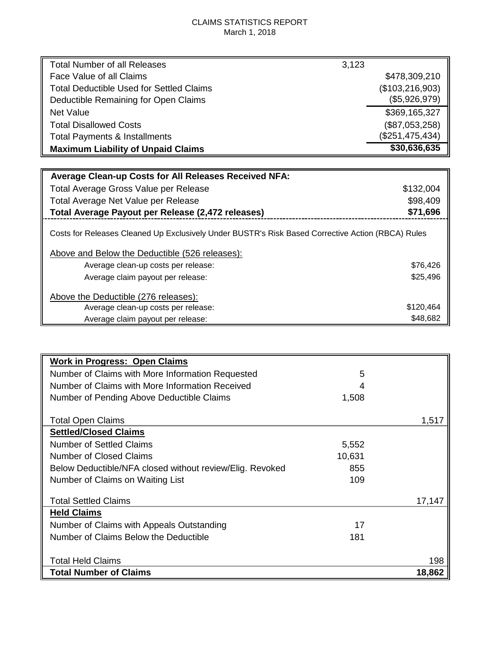## CLAIMS STATISTICS REPORT March 1, 2018

| <b>Total Number of all Releases</b>       | 3,123             |
|-------------------------------------------|-------------------|
| Face Value of all Claims                  | \$478,309,210     |
| Total Deductible Used for Settled Claims  | (\$103, 216, 903) |
| Deductible Remaining for Open Claims      | (\$5,926,979)     |
| Net Value                                 | \$369,165,327     |
| <b>Total Disallowed Costs</b>             | (\$87,053,258)    |
| <b>Total Payments &amp; Installments</b>  | (\$251,475,434)   |
| <b>Maximum Liability of Unpaid Claims</b> | \$30,636,635      |
|                                           |                   |

| <b>Average Clean-up Costs for All Releases Received NFA:</b>                                      |           |
|---------------------------------------------------------------------------------------------------|-----------|
| Total Average Gross Value per Release                                                             | \$132,004 |
| Total Average Net Value per Release                                                               | \$98,409  |
| Total Average Payout per Release (2,472 releases)                                                 | \$71,696  |
| Costs for Releases Cleaned Up Exclusively Under BUSTR's Risk Based Corrective Action (RBCA) Rules |           |
| Above and Below the Deductible (526 releases):                                                    |           |
| Average clean-up costs per release:                                                               | \$76,426  |
| Average claim payout per release:                                                                 | \$25,496  |
| Above the Deductible (276 releases):                                                              |           |
| Average clean-up costs per release:                                                               | \$120,464 |
| Average claim payout per release:                                                                 | \$48,682  |

| <b>Work in Progress: Open Claims</b>                     |        |        |
|----------------------------------------------------------|--------|--------|
| Number of Claims with More Information Requested         | 5      |        |
| Number of Claims with More Information Received          |        |        |
| Number of Pending Above Deductible Claims                | 1,508  |        |
| <b>Total Open Claims</b>                                 |        | 1.517  |
| <b>Settled/Closed Claims</b>                             |        |        |
| <b>Number of Settled Claims</b>                          | 5,552  |        |
| <b>Number of Closed Claims</b>                           | 10,631 |        |
| Below Deductible/NFA closed without review/Elig. Revoked | 855    |        |
| Number of Claims on Waiting List                         | 109    |        |
| <b>Total Settled Claims</b>                              |        | 17.147 |
| <b>Held Claims</b>                                       |        |        |
| Number of Claims with Appeals Outstanding                | 17     |        |
| Number of Claims Below the Deductible                    | 181    |        |
|                                                          |        |        |
| <b>Total Held Claims</b>                                 |        | 198    |
| <b>Total Number of Claims</b>                            |        | 18,862 |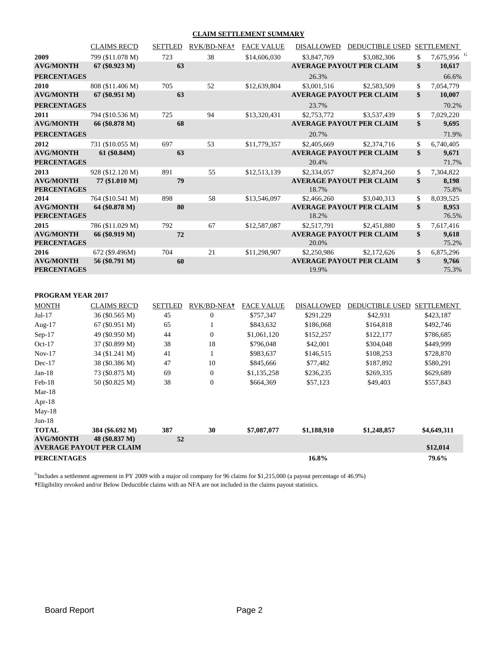#### **CLAIM SETTLEMENT SUMMARY**

|                    | <b>CLAIMS REC'D</b> | <b>SETTLED</b> | RVK/BD-NFA+            | <b>FACE VALUE</b> | <b>DISALLOWED</b> | DEDUCTIBLE USED SETTLEMENT      |                              |
|--------------------|---------------------|----------------|------------------------|-------------------|-------------------|---------------------------------|------------------------------|
| 2009               | 799 (\$11.078 M)    | 723            | 38                     | \$14,606,030      | \$3,847,769       | \$3,082,306                     | \$<br>7,675,956 <sup>G</sup> |
| <b>AVG/MONTH</b>   | $67 (\$0.923 M)$    | 63             |                        |                   |                   | <b>AVERAGE PAYOUT PER CLAIM</b> | \$<br>10,617                 |
| <b>PERCENTAGES</b> |                     |                |                        |                   | 26.3%             |                                 | 66.6%                        |
| 2010               | 808 (\$11.406 M)    | 705            | 52                     | \$12,639,804      | \$3,001.516       | \$2,583,509                     | \$<br>7,054,779              |
| <b>AVG/MONTH</b>   | $67 (\$0.951 M)$    | 63             |                        |                   |                   | <b>AVERAGE PAYOUT PER CLAIM</b> | \$<br>10,007                 |
| <b>PERCENTAGES</b> |                     |                |                        |                   | 23.7%             |                                 | 70.2%                        |
| 2011               | 794 (\$10.536 M)    | 725            | 94                     | \$13,320,431      | \$2,753,772       | \$3,537,439                     | \$<br>7,029,220              |
| <b>AVG/MONTH</b>   | 66 (\$0.878 M)      | 68             |                        |                   |                   | <b>AVERAGE PAYOUT PER CLAIM</b> | \$<br>9,695                  |
| <b>PERCENTAGES</b> |                     |                |                        |                   | 20.7%             |                                 | 71.9%                        |
| 2012               | 731 (\$10.055 M)    | 697            | 53                     | \$11,779,357      | \$2,405,669       | \$2,374,716                     | \$<br>6,740,405              |
| <b>AVG/MONTH</b>   | 61 (\$0.84M)        | 63             |                        |                   |                   | <b>AVERAGE PAYOUT PER CLAIM</b> | \$<br>9,671                  |
| <b>PERCENTAGES</b> |                     |                |                        |                   | 20.4%             |                                 | 71.7%                        |
| 2013               | 928 (\$12.120 M)    | 891            | 55                     | \$12,513,139      | \$2,334,057       | \$2,874,260                     | \$<br>7,304,822              |
| <b>AVG/MONTH</b>   | 77 (\$1.010 M)      | 79             |                        |                   |                   | <b>AVERAGE PAYOUT PER CLAIM</b> | \$<br>8,198                  |
| <b>PERCENTAGES</b> |                     |                |                        |                   | 18.7%             |                                 | 75.8%                        |
| 2014               | 764 (\$10.541 M)    | 898            | 58                     | \$13,546,097      | \$2,466,260       | \$3,040,313                     | \$<br>8,039,525              |
| <b>AVG/MONTH</b>   | 64 (\$0.878 M)      | 80             |                        |                   |                   | <b>AVERAGE PAYOUT PER CLAIM</b> | \$<br>8,953                  |
| <b>PERCENTAGES</b> |                     |                |                        |                   | 18.2%             |                                 | 76.5%                        |
| 2015               | 786 (\$11.029 M)    | 792            | 67                     | \$12,587,087      | \$2,517,791       | \$2,451,880                     | \$<br>7,617,416              |
| <b>AVG/MONTH</b>   | 66 (\$0.919 M)      | 72             |                        |                   |                   | <b>AVERAGE PAYOUT PER CLAIM</b> | \$<br>9,618                  |
| <b>PERCENTAGES</b> |                     |                |                        |                   | 20.0%             |                                 | 75.2%                        |
| 2016               | 672 (\$9.496M)      | 704            | 21                     | \$11,298,907      | \$2,250,986       | \$2,172,626                     | \$<br>6,875,296              |
| <b>AVG/MONTH</b>   | 56 (\$0.791 M)      | 60             |                        |                   |                   | <b>AVERAGE PAYOUT PER CLAIM</b> | \$<br>9,766                  |
| <b>PERCENTAGES</b> |                     |                |                        |                   | 19.9%             |                                 | 75.3%                        |
|                    |                     |                |                        |                   |                   |                                 |                              |
|                    |                     |                |                        |                   |                   |                                 |                              |
| PROGRAM YEAR 2017  |                     |                |                        |                   |                   |                                 |                              |
| <b>MONTH</b>       | <b>CLAIMS REC'D</b> | <b>SETTLED</b> | RVK/BD-NFA+ FACE VALUE |                   | <b>DISALLOWED</b> | DEDUCTIBLE USED SETTLEMENT      |                              |

| <b>MONTH</b>       | CLAIMS REC'D                    | SETTLED | RVK/BD-NFAT      | FACE VALUE  | DISALLOWED  | DEDUCTIBLE USED | <b>SETTLEMENT</b> |
|--------------------|---------------------------------|---------|------------------|-------------|-------------|-----------------|-------------------|
| $Jul-17$           | 36 (\$0.565 M)                  | 45      | $\Omega$         | \$757,347   | \$291,229   | \$42,931        | \$423,187         |
| Aug- $17$          | 67 (\$0.951 M)                  | 65      |                  | \$843,632   | \$186,068   | \$164,818       | \$492,746         |
| $Sep-17$           | 49 (\$0.950 M)                  | 44      | $\overline{0}$   | \$1,061,120 | \$152,257   | \$122,177       | \$786,685         |
| $Oct-17$           | 37 (\$0.899 M)                  | 38      | 18               | \$796,048   | \$42,001    | \$304,048       | \$449,999         |
| $Nov-17$           | 34 (\$1.241 M)                  | 41      |                  | \$983,637   | \$146,515   | \$108,253       | \$728,870         |
| $Dec-17$           | 38 (\$0.386 M)                  | 47      | 10               | \$845,666   | \$77,482    | \$187,892       | \$580,291         |
| $Jan-18$           | 73 (\$0.875 M)                  | 69      | $\overline{0}$   | \$1,135,258 | \$236,235   | \$269,335       | \$629,689         |
| $Feb-18$           | 50 (\$0.825 M)                  | 38      | $\boldsymbol{0}$ | \$664,369   | \$57,123    | \$49,403        | \$557,843         |
| $Mar-18$           |                                 |         |                  |             |             |                 |                   |
| Apr- $18$          |                                 |         |                  |             |             |                 |                   |
| $May-18$           |                                 |         |                  |             |             |                 |                   |
| $Jun-18$           |                                 |         |                  |             |             |                 |                   |
| <b>TOTAL</b>       | 384 (\$6.692 M)                 | 387     | 30               | \$7,087,077 | \$1,188,910 | \$1,248,857     | \$4,649,311       |
| <b>AVG/MONTH</b>   | 48 (\$0.837 M)                  | 52      |                  |             |             |                 |                   |
|                    | <b>AVERAGE PAYOUT PER CLAIM</b> |         |                  |             |             |                 | \$12,014          |
| <b>PERCENTAGES</b> |                                 |         |                  |             | 16.8%       |                 | 79.6%             |

<sup>G</sup>Includes a settlement agreement in PY 2009 with a major oil company for 96 claims for \$1,215,000 (a payout percentage of 46.9%) **†**Eligibility revoked and/or Below Deductible claims with an NFA are not included in the claims payout statistics.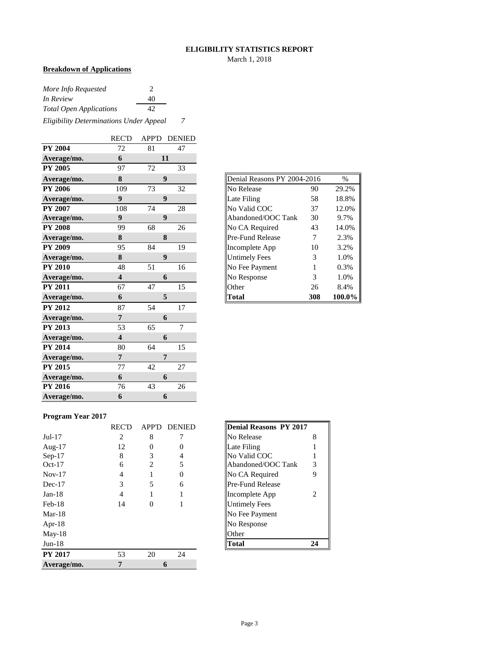#### **ELIGIBILITY STATISTICS REPORT**

March 1, 2018

## **Breakdown of Applications**

| More Info Requested                     |    |  |  |  |  |  |
|-----------------------------------------|----|--|--|--|--|--|
| In Review                               | 40 |  |  |  |  |  |
| <b>Total Open Applications</b><br>42    |    |  |  |  |  |  |
| Eligibility Determinations Under Appeal |    |  |  |  |  |  |

|                | <b>REC'D</b>            | APP'D | <b>DENIED</b>    |
|----------------|-------------------------|-------|------------------|
| <b>PY 2004</b> | 72                      | 81    | 47               |
| Average/mo.    | 6                       |       | 11               |
| <b>PY 2005</b> | 97                      | 72    | 33               |
| Average/mo.    | 8                       |       | 9                |
| <b>PY 2006</b> | 109                     | 73    | 32               |
| Average/mo.    | $\boldsymbol{9}$        |       | $\boldsymbol{9}$ |
| <b>PY 2007</b> | 108                     | 74    | 28               |
| Average/mo.    | 9                       |       | 9                |
| <b>PY 2008</b> | 99                      | 68    | 26               |
| Average/mo.    | 8                       |       | 8                |
| <b>PY 2009</b> | 95                      | 84    | 19               |
| Average/mo.    | 8                       |       | 9                |
| <b>PY 2010</b> | 48                      | 51    | 16               |
| Average/mo.    | $\overline{\mathbf{4}}$ |       | 6                |
| <b>PY 2011</b> | 67                      | 47    | 15               |
| Average/mo.    | 6                       |       | 5                |
| <b>PY 2012</b> | 87                      | 54    | 17               |
| Average/mo.    | $\overline{7}$          |       | 6                |
| <b>PY 2013</b> | 53                      | 65    | $\overline{7}$   |
| Average/mo.    | $\overline{\mathbf{4}}$ |       | 6                |
| <b>PY 2014</b> | 80                      | 64    | 15               |
| Average/mo.    | $\overline{7}$          |       | 7                |
| <b>PY 2015</b> | 77                      | 42    | 27               |
| Average/mo.    | 6                       |       | 6                |
| <b>PY 2016</b> | 76                      | 43    | 26               |
| Average/mo.    | 6                       |       | 6                |

| Denial Reasons PY 2004-2016<br>$\%$ |     |        |  |  |  |  |  |  |  |
|-------------------------------------|-----|--------|--|--|--|--|--|--|--|
| No Release                          | 90  | 29.2%  |  |  |  |  |  |  |  |
| Late Filing                         | 58  | 18.8%  |  |  |  |  |  |  |  |
| No Valid COC                        | 37  | 12.0%  |  |  |  |  |  |  |  |
| Abandoned/OOC Tank                  | 30  | 9.7%   |  |  |  |  |  |  |  |
| No CA Required                      | 43  | 14.0%  |  |  |  |  |  |  |  |
| Pre-Fund Release                    | 7   | 2.3%   |  |  |  |  |  |  |  |
| Incomplete App                      | 10  | 3.2%   |  |  |  |  |  |  |  |
| <b>Untimely Fees</b>                | 3   | 1.0%   |  |  |  |  |  |  |  |
| No Fee Payment                      | 1   | 0.3%   |  |  |  |  |  |  |  |
| No Response                         | 3   | 1.0%   |  |  |  |  |  |  |  |
| Other                               | 26  | 8.4%   |  |  |  |  |  |  |  |
| Total                               | 308 | 100.0% |  |  |  |  |  |  |  |

#### **Program Year 2017**

|                | <b>REC'D</b> | APP'D    | <b>DENIED</b> | Denial Reasons PY 2017  |                |
|----------------|--------------|----------|---------------|-------------------------|----------------|
| $Jul-17$       | 2            | 8        |               | No Release              | 8              |
| Aug- $17$      | 12           | $\Omega$ | 0             | Late Filing             |                |
| $Sep-17$       | 8            | 3        | 4             | No Valid COC            |                |
| $Oct-17$       | 6            | 2        | 5             | Abandoned/OOC Tank      | 3              |
| $Nov-17$       | 4            |          | $\Omega$      | No CA Required          | 9              |
| $Dec-17$       | 3            | 5        | 6             | <b>Pre-Fund Release</b> |                |
| $Jan-18$       | 4            |          |               | Incomplete App          | $\mathfrak{D}$ |
| $Feb-18$       | 14           | 0        |               | <b>Untimely Fees</b>    |                |
| $Mar-18$       |              |          |               | No Fee Payment          |                |
| Apr-18         |              |          |               | No Response             |                |
| $May-18$       |              |          |               | Other                   |                |
| $Jun-18$       |              |          |               | <b>Total</b>            | 24             |
| <b>PY 2017</b> | 53           | 20       | 24            |                         |                |
| Average/mo.    | 7            |          | 6             |                         |                |

| <b>Denial Reasons PY 2017</b> |   |
|-------------------------------|---|
| No Release                    | 8 |
| Late Filing                   |   |
| No Valid COC                  |   |
| Abandoned/OOC Tank            | 3 |
| No CA Required                | Q |
| Pre-Fund Release              |   |
| Incomplete App                | 2 |
| <b>Untimely Fees</b>          |   |
| No Fee Payment                |   |
| No Response                   |   |
| Other                         |   |
| Fotal                         |   |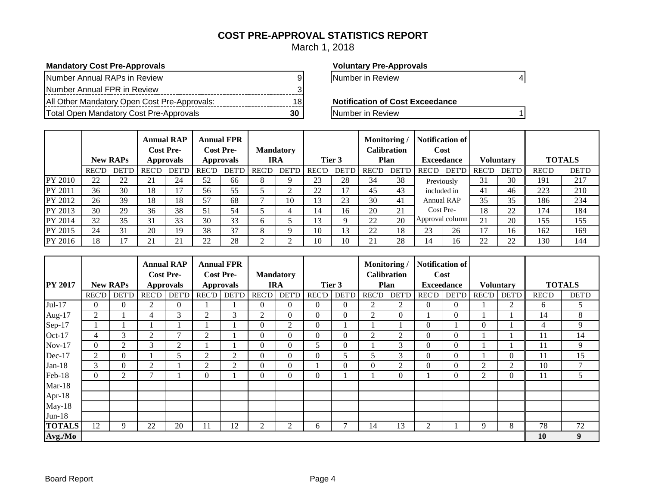## **COST PRE-APPROVAL STATISTICS REPORT**

March 1, 2018

### **Mandatory Cost Pre-Approvals Voluntary Pre-Approvals**

| Number Annual RAPs in Review                 |  |
|----------------------------------------------|--|
| Number Annual FPR in Review                  |  |
| All Other Mandatory Open Cost Pre-Approvals: |  |
| Total Open Mandatory Cost Pre-Approvals      |  |

Number in Review 9 Number in Review 9 Number in Review 9 Number 1

**Notification of Cost Exceedance** 

**The Total Open Mandatory Cost Pre-Approvals** 30 Number in Review 1

|         |              | <b>New RAPs</b> |              | <b>Annual RAP</b><br><b>Cost Pre-</b><br><b>Approvals</b> |              | <b>Annual FPR</b><br><b>Cost Pre-</b><br><b>Approvals</b> |              | <b>Mandatory</b><br><b>IRA</b> |              | Tier 3       | Monitoring   | <b>Calibration</b><br>Plan | Notification of<br>Cost<br><b>Exceedance</b> |              |              | <b>Voluntary</b> |              | <b>TOTALS</b> |
|---------|--------------|-----------------|--------------|-----------------------------------------------------------|--------------|-----------------------------------------------------------|--------------|--------------------------------|--------------|--------------|--------------|----------------------------|----------------------------------------------|--------------|--------------|------------------|--------------|---------------|
|         | <b>REC'D</b> | <b>DET'D</b>    | <b>REC'D</b> | <b>DET'D</b>                                              | <b>REC'D</b> | <b>DET'D</b>                                              | <b>REC'D</b> | <b>DET'D</b>                   | <b>REC'D</b> | <b>DET'D</b> | <b>REC'D</b> | <b>DET'D</b>               | <b>REC'D</b>                                 | <b>DET'D</b> | <b>REC'D</b> | <b>DET'D</b>     | <b>REC'D</b> | <b>DET'D</b>  |
| PY 2010 | 22           | 22              | 21           | 24                                                        | 52           | 66                                                        | $\circ$      |                                | 23           | 28           | 34           | 38                         | Previously                                   |              | 31           | 30               | 191          | 217           |
| PY 2011 | 36           | 30              | 18           | 17                                                        | 56           | 55                                                        |              | ◠                              | 22           | 17           | 45           | 43                         | included in                                  |              | 41           | 46               | 223          | 210           |
| PY 2012 | 26           | 39              | 18           | 18                                                        | 57           | 68                                                        |              | 10                             | 13           | 23           | 30           | 41                         | <b>Annual RAP</b>                            |              | 35           | 35               | 186          | 234           |
| PY 2013 | 30           | 29              | 36           | 38                                                        | 51           | 54                                                        |              |                                | 14           | 16           | 20           | 21                         | Cost Pre-                                    |              | 18           | 22               | 174          | 184           |
| PY 2014 | 32           | 35              | 31           | 33                                                        | 30           | 33                                                        | $\sigma$     |                                | 3            | Q            | 22           | 20                         | Approval column                              |              | 21           | 20               | 155          | 155           |
| PY 2015 | 24           | 31              | 20           | 19                                                        | 38           | 37                                                        | 8            | Q                              | 10           | 13           | 22           | 18                         | 23                                           | 26           | 17           | 16               | 162          | 169           |
| PY 2016 | 18           | 17              | 21           | 21                                                        | 22           | 28                                                        |              | ◠                              | 10           | 10           | 21           | 28                         | 14                                           | 16           | 22           | 22               | 130          | 144           |

|                |              |                 | <b>Annual RAP</b><br><b>Cost Pre-</b> |                |              | <b>Annual FPR</b><br><b>Cost Pre-</b> |                | <b>Mandatory</b> |                |                | Monitoring   | <b>Calibration</b> | <b>Notification of</b> | Cost              |                  |              |               |              |
|----------------|--------------|-----------------|---------------------------------------|----------------|--------------|---------------------------------------|----------------|------------------|----------------|----------------|--------------|--------------------|------------------------|-------------------|------------------|--------------|---------------|--------------|
| <b>PY 2017</b> |              | <b>New RAPs</b> | <b>Approvals</b>                      |                |              | <b>Approvals</b>                      |                | <b>IRA</b>       |                | Tier 3         |              | Plan               |                        | <b>Exceedance</b> | <b>Voluntary</b> |              | <b>TOTALS</b> |              |
|                | <b>REC'D</b> | <b>DET'D</b>    | <b>REC'D</b>                          | <b>DET'D</b>   | <b>REC'D</b> | <b>DET'D</b>                          | <b>REC'D</b>   | <b>DET'D</b>     | <b>REC'D</b>   | <b>DET'D</b>   | <b>REC'D</b> | <b>DET'D</b>       | <b>REC'D</b>           | <b>DET'D</b>      | <b>REC'D</b>     | <b>DET'D</b> | <b>REC'D</b>  | <b>DET'D</b> |
| Jul-17         | $\Omega$     | $\Omega$        | $\overline{2}$                        | $\overline{0}$ |              |                                       | $\Omega$       | $\Omega$         | $\Omega$       | $\Omega$       | 2            | 2                  | $\overline{0}$         | $\theta$          |                  | 2            | 6             | 5            |
| Aug- $17$      | 2            |                 | 4                                     | 3              | 2            | 3                                     | 2              | $\overline{0}$   | $\Omega$       | $\mathbf{0}$   | 2            | $\overline{0}$     |                        | $\theta$          |                  |              | 14            | 8            |
| Sep-17         |              |                 |                                       |                |              |                                       | $\mathbf{0}$   | 2                | $\overline{0}$ |                |              |                    | $\overline{0}$         |                   | $\overline{0}$   |              | 4             | 9            |
| Oct-17         | 4            | 3               | $\overline{c}$                        | 7              | 2            |                                       | $\mathbf{0}$   | $\overline{0}$   | $\Omega$       | $\overline{0}$ | 2            | 2                  | $\overline{0}$         | $\theta$          |                  |              | 11            | 14           |
| $Nov-17$       | $\Omega$     | 2               | 3                                     | 2              |              |                                       | $\Omega$       | $\Omega$         | 5              | $\theta$       |              | 3                  | $\Omega$               | $\theta$          |                  |              | 11            | 9            |
| Dec-17         | 2            | $\Omega$        |                                       | 5              | 2            | 2                                     | $\Omega$       | $\Omega$         | $\Omega$       | 5              | 5            | 3                  | $\overline{0}$         | $\theta$          |                  | $\Omega$     | 11            | 15           |
| $Jan-18$       | 3            | $\Omega$        | $\overline{2}$                        |                | 2            | 2                                     | $\Omega$       | $\Omega$         |                | $\Omega$       | $\theta$     | 2                  | $\overline{0}$         | $\theta$          | 2                | 2            | 10            | 7            |
| Feb-18         | $\Omega$     | $\overline{2}$  | $\mathcal{I}$                         |                | $\Omega$     |                                       | $\Omega$       | $\Omega$         | $\Omega$       |                |              | $\Omega$           |                        | $\theta$          | 2                | $\Omega$     | 11            | 5            |
| $Mar-18$       |              |                 |                                       |                |              |                                       |                |                  |                |                |              |                    |                        |                   |                  |              |               |              |
| Apr-18         |              |                 |                                       |                |              |                                       |                |                  |                |                |              |                    |                        |                   |                  |              |               |              |
| May-18         |              |                 |                                       |                |              |                                       |                |                  |                |                |              |                    |                        |                   |                  |              |               |              |
| $Jun-18$       |              |                 |                                       |                |              |                                       |                |                  |                |                |              |                    |                        |                   |                  |              |               |              |
| <b>TOTALS</b>  | 12           | 9               | 22                                    | 20             | 11           | 12                                    | $\overline{2}$ | 2                | 6.             | $\overline{ }$ | 14           | 13                 | 2                      |                   | 9                | 8            | 78            | 72           |
| Avg./Mo        |              |                 |                                       |                |              |                                       |                |                  |                |                |              |                    |                        |                   |                  |              | 10            | 9            |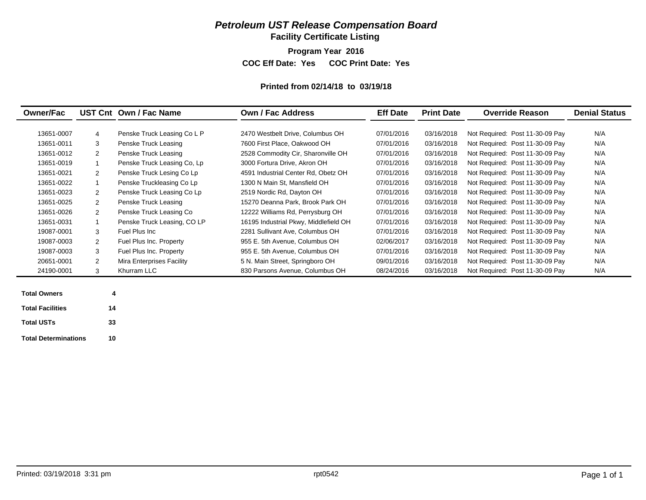## *Petroleum UST Release Compensation Board*

**Facility Certificate Listing**

**Program Year 2016**

**COC Eff Date: Yes COC Print Date: Yes** 

#### **Printed from 02/14/18 to 03/19/18**

| <b>Owner/Fac</b> |                | UST Cnt Own / Fac Name      | Own / Fac Address                     | <b>Eff Date</b><br><b>Print Date</b> |            | <b>Override Reason</b>          | <b>Denial Status</b> |
|------------------|----------------|-----------------------------|---------------------------------------|--------------------------------------|------------|---------------------------------|----------------------|
| 13651-0007       | $\overline{4}$ | Penske Truck Leasing Co L P | 2470 Westbelt Drive, Columbus OH      | 07/01/2016                           | 03/16/2018 | Not Required: Post 11-30-09 Pay | N/A                  |
| 13651-0011       | 3              | Penske Truck Leasing        | 7600 First Place, Oakwood OH          | 07/01/2016                           | 03/16/2018 | Not Required: Post 11-30-09 Pay | N/A                  |
| 13651-0012       | 2              | Penske Truck Leasing        | 2528 Commodity Cir, Sharonville OH    | 07/01/2016                           | 03/16/2018 | Not Required: Post 11-30-09 Pay | N/A                  |
| 13651-0019       |                | Penske Truck Leasing Co, Lp | 3000 Fortura Drive, Akron OH          | 07/01/2016                           | 03/16/2018 | Not Required: Post 11-30-09 Pay | N/A                  |
| 13651-0021       | 2              | Penske Truck Lesing Co Lp   | 4591 Industrial Center Rd, Obetz OH   | 07/01/2016                           | 03/16/2018 | Not Required: Post 11-30-09 Pay | N/A                  |
| 13651-0022       |                | Penske Truckleasing Co Lp   | 1300 N Main St, Mansfield OH          | 07/01/2016                           | 03/16/2018 | Not Required: Post 11-30-09 Pay | N/A                  |
| 13651-0023       | $\overline{2}$ | Penske Truck Leasing Co Lp  | 2519 Nordic Rd, Dayton OH             | 07/01/2016                           | 03/16/2018 | Not Required: Post 11-30-09 Pay | N/A                  |
| 13651-0025       | $\overline{2}$ | Penske Truck Leasing        | 15270 Deanna Park, Brook Park OH      | 07/01/2016                           | 03/16/2018 | Not Required: Post 11-30-09 Pay | N/A                  |
| 13651-0026       | $\overline{2}$ | Penske Truck Leasing Co     | 12222 Williams Rd, Perrysburg OH      | 07/01/2016                           | 03/16/2018 | Not Required: Post 11-30-09 Pay | N/A                  |
| 13651-0031       |                | Penske Truck Leasing, CO LP | 16195 Industrial Pkwy, Middlefield OH | 07/01/2016                           | 03/16/2018 | Not Required: Post 11-30-09 Pay | N/A                  |
| 19087-0001       | 3              | Fuel Plus Inc               | 2281 Sullivant Ave, Columbus OH       | 07/01/2016                           | 03/16/2018 | Not Required: Post 11-30-09 Pay | N/A                  |
| 19087-0003       | $\overline{2}$ | Fuel Plus Inc. Property     | 955 E. 5th Avenue, Columbus OH        | 02/06/2017                           | 03/16/2018 | Not Required: Post 11-30-09 Pay | N/A                  |
| 19087-0003       | 3              | Fuel Plus Inc. Property     | 955 E. 5th Avenue, Columbus OH        | 07/01/2016                           | 03/16/2018 | Not Required: Post 11-30-09 Pay | N/A                  |
| 20651-0001       | 2              | Mira Enterprises Facility   | 5 N. Main Street, Springboro OH       | 09/01/2016                           | 03/16/2018 | Not Required: Post 11-30-09 Pay | N/A                  |
| 24190-0001       | 3              | Khurram LLC                 | 830 Parsons Avenue, Columbus OH       | 08/24/2016                           | 03/16/2018 | Not Required: Post 11-30-09 Pay | N/A                  |

| <b>Total Owners</b>         | 4  |
|-----------------------------|----|
| <b>Total Facilities</b>     | 14 |
| <b>Total USTs</b>           | 33 |
| <b>Total Determinations</b> | 10 |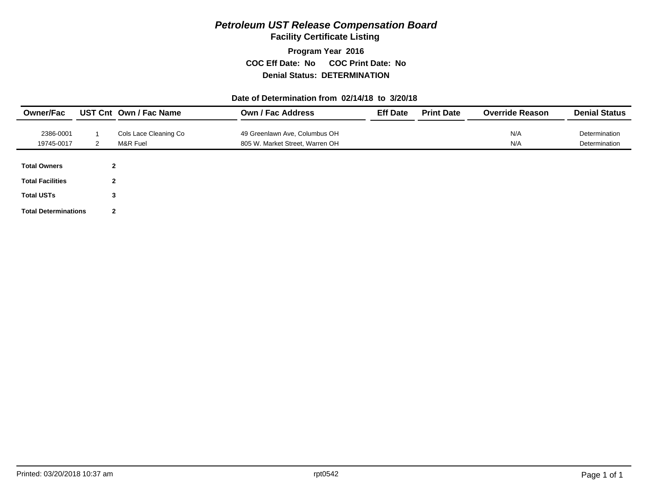## *Petroleum UST Release Compensation Board*

**Facility Certificate Listing**

**Program Year 2016 COC Eff Date: No COC Print Date: No Denial Status: DETERMINATION**

#### **Date of Determination from 02/14/18 to 3/20/18**

| <b>Owner/Fac</b>            |                | UST Cnt Own / Fac Name | <b>Own / Fac Address</b>        | <b>Eff Date</b> | <b>Print Date</b> | <b>Override Reason</b> | <b>Denial Status</b> |
|-----------------------------|----------------|------------------------|---------------------------------|-----------------|-------------------|------------------------|----------------------|
| 2386-0001                   |                | Cols Lace Cleaning Co  | 49 Greenlawn Ave, Columbus OH   |                 |                   | N/A                    | Determination        |
| 19745-0017                  | 2              | M&R Fuel               | 805 W. Market Street, Warren OH |                 |                   | N/A                    | Determination        |
|                             |                |                        |                                 |                 |                   |                        |                      |
| <b>Total Owners</b>         | $\mathbf{2}$   |                        |                                 |                 |                   |                        |                      |
| <b>Total Facilities</b>     | $\overline{2}$ |                        |                                 |                 |                   |                        |                      |
| <b>Total USTs</b>           | 3              |                        |                                 |                 |                   |                        |                      |
| <b>Total Determinations</b> | $\mathbf{2}$   |                        |                                 |                 |                   |                        |                      |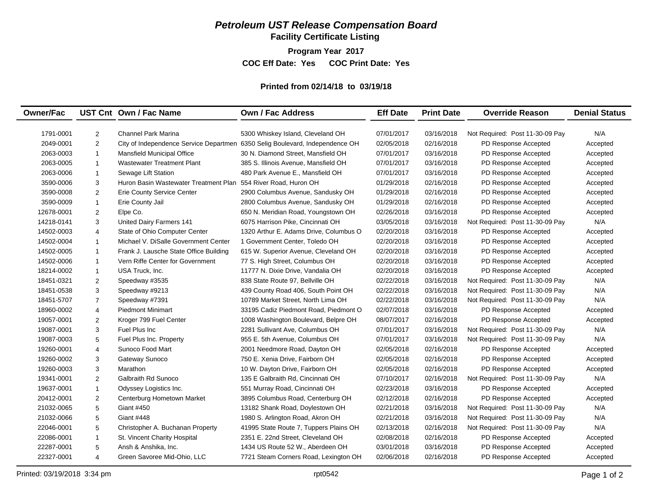## *Petroleum UST Release Compensation Board*

**Facility Certificate Listing**

**Program Year 2017**

**COC Eff Date: Yes COC Print Date: Yes** 

#### **Printed from 02/14/18 to 03/19/18**

| <b>Owner/Fac</b> |                | UST Cnt Own / Fac Name                                                       | <b>Own / Fac Address</b>               | <b>Eff Date</b> | <b>Print Date</b> | <b>Override Reason</b>          | <b>Denial Status</b> |
|------------------|----------------|------------------------------------------------------------------------------|----------------------------------------|-----------------|-------------------|---------------------------------|----------------------|
|                  |                |                                                                              |                                        |                 |                   |                                 |                      |
| 1791-0001        | 2              | <b>Channel Park Marina</b>                                                   | 5300 Whiskey Island, Cleveland OH      | 07/01/2017      | 03/16/2018        | Not Required: Post 11-30-09 Pay | N/A                  |
| 2049-0001        | 2              | City of Independence Service Departmen 6350 Selig Boulevard, Independence OH |                                        | 02/05/2018      | 02/16/2018        | PD Response Accepted            | Accepted             |
| 2063-0003        | $\overline{1}$ | <b>Mansfield Municipal Office</b>                                            | 30 N. Diamond Street, Mansfield OH     | 07/01/2017      | 03/16/2018        | PD Response Accepted            | Accepted             |
| 2063-0005        | $\overline{1}$ | <b>Wastewater Treatment Plant</b>                                            | 385 S. Illinois Avenue, Mansfield OH   | 07/01/2017      | 03/16/2018        | PD Response Accepted            | Accepted             |
| 2063-0006        | $\mathbf{1}$   | Sewage Lift Station                                                          | 480 Park Avenue E., Mansfield OH       | 07/01/2017      | 03/16/2018        | PD Response Accepted            | Accepted             |
| 3590-0006        | 3              | Huron Basin Wastewater Treatment Plan                                        | 554 River Road, Huron OH               | 01/29/2018      | 02/16/2018        | PD Response Accepted            | Accepted             |
| 3590-0008        | 2              | Erie County Service Center                                                   | 2900 Columbus Avenue, Sandusky OH      | 01/29/2018      | 02/16/2018        | PD Response Accepted            | Accepted             |
| 3590-0009        | $\overline{1}$ | Erie County Jail                                                             | 2800 Columbus Avenue, Sandusky OH      | 01/29/2018      | 02/16/2018        | PD Response Accepted            | Accepted             |
| 12678-0001       | 2              | Elpe Co.                                                                     | 650 N. Meridian Road, Youngstown OH    | 02/26/2018      | 03/16/2018        | PD Response Accepted            | Accepted             |
| 14218-0141       | 3              | United Dairy Farmers 141                                                     | 6075 Harrison Pike, Cincinnati OH      | 03/05/2018      | 03/16/2018        | Not Required: Post 11-30-09 Pay | N/A                  |
| 14502-0003       | $\overline{4}$ | State of Ohio Computer Center                                                | 1320 Arthur E. Adams Drive, Columbus O | 02/20/2018      | 03/16/2018        | PD Response Accepted            | Accepted             |
| 14502-0004       | $\overline{1}$ | Michael V. DiSalle Government Center                                         | 1 Government Center, Toledo OH         | 02/20/2018      | 03/16/2018        | PD Response Accepted            | Accepted             |
| 14502-0005       | $\overline{1}$ | Frank J. Lausche State Office Building                                       | 615 W. Superior Avenue, Cleveland OH   | 02/20/2018      | 03/16/2018        | PD Response Accepted            | Accepted             |
| 14502-0006       | $\overline{1}$ | Vern Riffe Center for Government                                             | 77 S. High Street, Columbus OH         | 02/20/2018      | 03/16/2018        | PD Response Accepted            | Accepted             |
| 18214-0002       | $\mathbf{1}$   | USA Truck, Inc.                                                              | 11777 N. Dixie Drive, Vandalia OH      | 02/20/2018      | 03/16/2018        | PD Response Accepted            | Accepted             |
| 18451-0321       | 2              | Speedway #3535                                                               | 838 State Route 97, Bellville OH       | 02/22/2018      | 03/16/2018        | Not Required: Post 11-30-09 Pay | N/A                  |
| 18451-0538       | 3              | Speedway #9213                                                               | 439 County Road 406, South Point OH    | 02/22/2018      | 03/16/2018        | Not Required: Post 11-30-09 Pay | N/A                  |
| 18451-5707       | $\overline{7}$ | Speedway #7391                                                               | 10789 Market Street, North Lima OH     | 02/22/2018      | 03/16/2018        | Not Required: Post 11-30-09 Pay | N/A                  |
| 18960-0002       | $\overline{4}$ | <b>Piedmont Minimart</b>                                                     | 33195 Cadiz Piedmont Road, Piedmont O  | 02/07/2018      | 03/16/2018        | PD Response Accepted            | Accepted             |
| 19057-0001       | 2              | Kroger 799 Fuel Center                                                       | 1008 Washington Boulevard, Belpre OH   | 08/07/2017      | 02/16/2018        | PD Response Accepted            | Accepted             |
| 19087-0001       | 3              | Fuel Plus Inc                                                                | 2281 Sullivant Ave, Columbus OH        | 07/01/2017      | 03/16/2018        | Not Required: Post 11-30-09 Pay | N/A                  |
| 19087-0003       | 5              | Fuel Plus Inc. Property                                                      | 955 E. 5th Avenue, Columbus OH         | 07/01/2017      | 03/16/2018        | Not Required: Post 11-30-09 Pay | N/A                  |
| 19260-0001       | $\overline{4}$ | Sunoco Food Mart                                                             | 2001 Needmore Road, Dayton OH          | 02/05/2018      | 02/16/2018        | PD Response Accepted            | Accepted             |
| 19260-0002       | 3              | Gateway Sunoco                                                               | 750 E. Xenia Drive, Fairborn OH        | 02/05/2018      | 02/16/2018        | PD Response Accepted            | Accepted             |
| 19260-0003       | 3              | Marathon                                                                     | 10 W. Dayton Drive, Fairborn OH        | 02/05/2018      | 02/16/2018        | PD Response Accepted            | Accepted             |
| 19341-0001       | 2              | <b>Galbraith Rd Sunoco</b>                                                   | 135 E Galbraith Rd, Cincinnati OH      | 07/10/2017      | 02/16/2018        | Not Required: Post 11-30-09 Pay | N/A                  |
| 19637-0001       | $\overline{1}$ | Odyssey Logistics Inc.                                                       | 551 Murray Road, Cincinnati OH         | 02/23/2018      | 03/16/2018        | PD Response Accepted            | Accepted             |
| 20412-0001       | $\overline{2}$ | Centerburg Hometown Market                                                   | 3895 Columbus Road, Centerburg OH      | 02/12/2018      | 02/16/2018        | PD Response Accepted            | Accepted             |
| 21032-0065       | 5              | Giant #450                                                                   | 13182 Shank Road, Doylestown OH        | 02/21/2018      | 03/16/2018        | Not Required: Post 11-30-09 Pay | N/A                  |
| 21032-0066       | 5              | <b>Giant #448</b>                                                            | 1980 S. Arlington Road, Akron OH       | 02/21/2018      | 03/16/2018        | Not Required: Post 11-30-09 Pay | N/A                  |
| 22046-0001       | 5              | Christopher A. Buchanan Property                                             | 41995 State Route 7, Tuppers Plains OH | 02/13/2018      | 02/16/2018        | Not Required: Post 11-30-09 Pay | N/A                  |
| 22086-0001       | $\overline{1}$ | St. Vincent Charity Hospital                                                 | 2351 E. 22nd Street, Cleveland OH      | 02/08/2018      | 02/16/2018        | PD Response Accepted            | Accepted             |
| 22287-0001       | 5              | Ansh & Anshika, Inc.                                                         | 1434 US Route 52 W., Aberdeen OH       | 03/01/2018      | 03/16/2018        | PD Response Accepted            | Accepted             |
| 22327-0001       | $\overline{4}$ | Green Savoree Mid-Ohio, LLC                                                  | 7721 Steam Corners Road, Lexington OH  | 02/06/2018      | 02/16/2018        | PD Response Accepted            | Accepted             |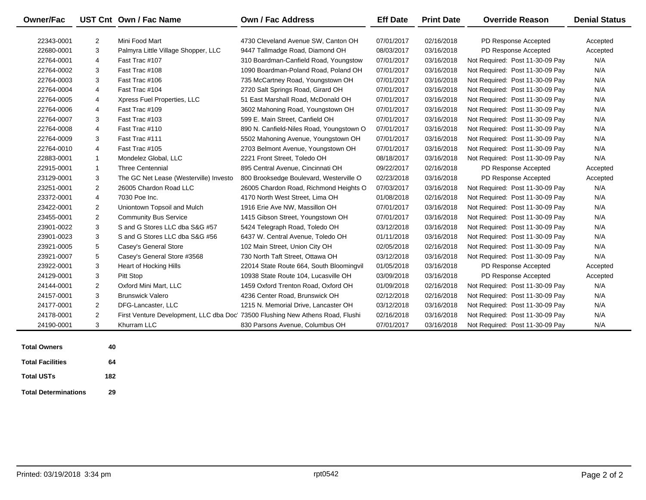| <b>Owner/Fac</b> |                | UST Cnt Own / Fac Name                 | <b>Own / Fac Address</b>                                                      | <b>Eff Date</b> | <b>Print Date</b> | <b>Override Reason</b>          | <b>Denial Status</b> |
|------------------|----------------|----------------------------------------|-------------------------------------------------------------------------------|-----------------|-------------------|---------------------------------|----------------------|
| 22343-0001       | 2              | Mini Food Mart                         | 4730 Cleveland Avenue SW. Canton OH                                           | 07/01/2017      | 02/16/2018        | PD Response Accepted            | Accepted             |
| 22680-0001       | 3              | Palmyra Little Village Shopper, LLC    | 9447 Tallmadge Road, Diamond OH                                               | 08/03/2017      | 03/16/2018        | PD Response Accepted            | Accepted             |
| 22764-0001       | 4              | Fast Trac #107                         | 310 Boardman-Canfield Road, Youngstow                                         | 07/01/2017      | 03/16/2018        | Not Required: Post 11-30-09 Pay | N/A                  |
| 22764-0002       | 3              | Fast Trac #108                         | 1090 Boardman-Poland Road, Poland OH                                          | 07/01/2017      | 03/16/2018        | Not Required: Post 11-30-09 Pay | N/A                  |
| 22764-0003       | 3              | Fast Trac #106                         | 735 McCartney Road, Youngstown OH                                             | 07/01/2017      | 03/16/2018        | Not Required: Post 11-30-09 Pay | N/A                  |
| 22764-0004       | 4              | Fast Trac #104                         | 2720 Salt Springs Road, Girard OH                                             | 07/01/2017      | 03/16/2018        | Not Required: Post 11-30-09 Pay | N/A                  |
| 22764-0005       | 4              | Xpress Fuel Properties, LLC            | 51 East Marshall Road, McDonald OH                                            | 07/01/2017      | 03/16/2018        | Not Required: Post 11-30-09 Pay | N/A                  |
| 22764-0006       | 4              | Fast Trac #109                         | 3602 Mahoning Road, Youngstown OH                                             | 07/01/2017      | 03/16/2018        | Not Required: Post 11-30-09 Pay | N/A                  |
| 22764-0007       | 3              | Fast Trac #103                         | 599 E. Main Street, Canfield OH                                               | 07/01/2017      | 03/16/2018        | Not Required: Post 11-30-09 Pay | N/A                  |
| 22764-0008       | 4              | Fast Trac #110                         | 890 N. Canfield-Niles Road, Youngstown O                                      | 07/01/2017      | 03/16/2018        | Not Required: Post 11-30-09 Pay | N/A                  |
| 22764-0009       | 3              | Fast Trac #111                         | 5502 Mahoning Avenue, Youngstown OH                                           | 07/01/2017      | 03/16/2018        | Not Required: Post 11-30-09 Pay | N/A                  |
| 22764-0010       | 4              | Fast Trac #105                         | 2703 Belmont Avenue, Youngstown OH                                            | 07/01/2017      | 03/16/2018        | Not Required: Post 11-30-09 Pay | N/A                  |
| 22883-0001       | $\mathbf{1}$   | Mondelez Global, LLC                   | 2221 Front Street, Toledo OH                                                  | 08/18/2017      | 03/16/2018        | Not Required: Post 11-30-09 Pay | N/A                  |
| 22915-0001       | $\mathbf{1}$   | <b>Three Centennial</b>                | 895 Central Avenue, Cincinnati OH                                             | 09/22/2017      | 02/16/2018        | PD Response Accepted            | Accepted             |
| 23129-0001       | 3              | The GC Net Lease (Westerville) Investo | 800 Brooksedge Boulevard, Westerville O                                       | 02/23/2018      | 03/16/2018        | PD Response Accepted            | Accepted             |
| 23251-0001       | 2              | 26005 Chardon Road LLC                 | 26005 Chardon Road, Richmond Heights O                                        | 07/03/2017      | 03/16/2018        | Not Required: Post 11-30-09 Pay | N/A                  |
| 23372-0001       | 4              | 7030 Poe Inc.                          | 4170 North West Street, Lima OH                                               | 01/08/2018      | 02/16/2018        | Not Required: Post 11-30-09 Pay | N/A                  |
| 23422-0001       | $\overline{2}$ | Uniontown Topsoil and Mulch            | 1916 Erie Ave NW, Massillon OH                                                | 07/01/2017      | 03/16/2018        | Not Required: Post 11-30-09 Pay | N/A                  |
| 23455-0001       | $\overline{2}$ | <b>Community Bus Service</b>           | 1415 Gibson Street, Youngstown OH                                             | 07/01/2017      | 03/16/2018        | Not Required: Post 11-30-09 Pay | N/A                  |
| 23901-0022       | 3              | S and G Stores LLC dba S&G #57         | 5424 Telegraph Road, Toledo OH                                                | 03/12/2018      | 03/16/2018        | Not Required: Post 11-30-09 Pay | N/A                  |
| 23901-0023       | 3              | S and G Stores LLC dba S&G #56         | 6437 W. Central Avenue, Toledo OH                                             | 01/11/2018      | 03/16/2018        | Not Required: Post 11-30-09 Pay | N/A                  |
| 23921-0005       | 5              | Casey's General Store                  | 102 Main Street, Union City OH                                                | 02/05/2018      | 02/16/2018        | Not Required: Post 11-30-09 Pay | N/A                  |
| 23921-0007       | 5              | Casey's General Store #3568            | 730 North Taft Street, Ottawa OH                                              | 03/12/2018      | 03/16/2018        | Not Required: Post 11-30-09 Pay | N/A                  |
| 23922-0001       | 3              | Heart of Hocking Hills                 | 22014 State Route 664, South Bloomingvil                                      | 01/05/2018      | 03/16/2018        | PD Response Accepted            | Accepted             |
| 24129-0001       | 3              | Pitt Stop                              | 10938 State Route 104, Lucasville OH                                          | 03/09/2018      | 03/16/2018        | PD Response Accepted            | Accepted             |
| 24144-0001       | $\overline{2}$ | Oxford Mini Mart, LLC                  | 1459 Oxford Trenton Road, Oxford OH                                           | 01/09/2018      | 02/16/2018        | Not Required: Post 11-30-09 Pay | N/A                  |
| 24157-0001       | 3              | <b>Brunswick Valero</b>                | 4236 Center Road, Brunswick OH                                                | 02/12/2018      | 02/16/2018        | Not Required: Post 11-30-09 Pay | N/A                  |
| 24177-0001       | $\overline{2}$ | DFG-Lancaster, LLC                     | 1215 N. Memorial Drive, Lancaster OH                                          | 03/12/2018      | 03/16/2018        | Not Required: Post 11-30-09 Pay | N/A                  |
| 24178-0001       | $\overline{2}$ |                                        | First Venture Development, LLC dba Doc 73500 Flushing New Athens Road, Flushi | 02/16/2018      | 03/16/2018        | Not Required: Post 11-30-09 Pay | N/A                  |
| 24190-0001       | 3              | Khurram LLC                            | 830 Parsons Avenue, Columbus OH                                               | 07/01/2017      | 03/16/2018        | Not Required: Post 11-30-09 Pay | N/A                  |

| <b>Total Owners</b>         | 40  |  |
|-----------------------------|-----|--|
| <b>Total Facilities</b>     | 64  |  |
| <b>Total USTs</b>           | 182 |  |
| <b>Total Determinations</b> | 29  |  |